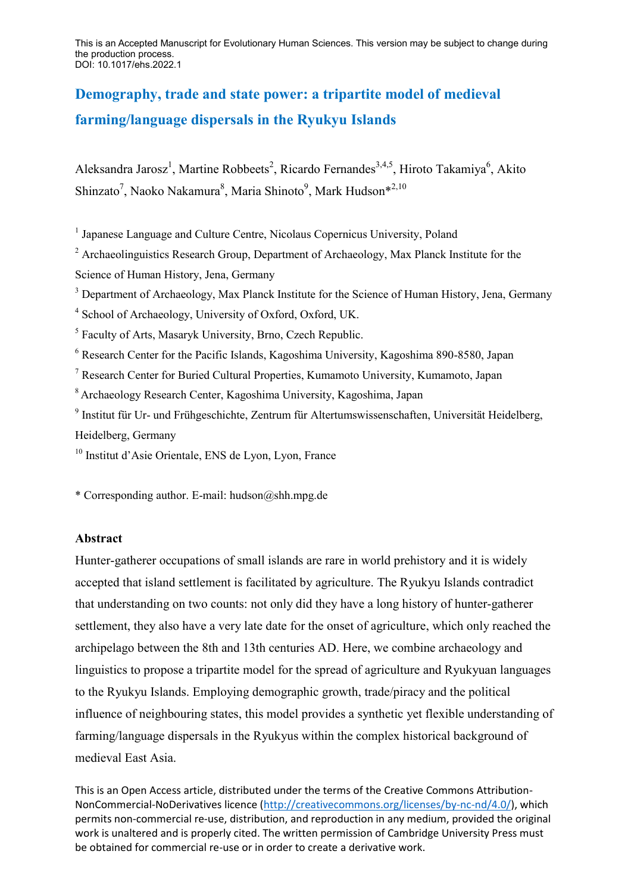This is an Accepted Manuscript for Evolutionary Human Sciences. This version may be subject to change during the production process. DOI: 10.1017/ehs.2022.1

# **Demography, trade and state power: a tripartite model of medieval farming/language dispersals in the Ryukyu Islands**

Aleksandra Jarosz<sup>1</sup>, Martine Robbeets<sup>2</sup>, Ricardo Fernandes<sup>3,4,5</sup>, Hiroto Takamiya<sup>6</sup>, Akito Shinzato<sup>7</sup>, Naoko Nakamura<sup>8</sup>, Maria Shinoto<sup>9</sup>, Mark Hudson<sup>\*2,10</sup>

<sup>1</sup> Japanese Language and Culture Centre, Nicolaus Copernicus University, Poland

<sup>2</sup> Archaeolinguistics Research Group, Department of Archaeology, Max Planck Institute for the Science of Human History, Jena, Germany

<sup>3</sup> Department of Archaeology, Max Planck Institute for the Science of Human History, Jena, Germany

4 School of Archaeology, University of Oxford, Oxford, UK.

<sup>5</sup> Faculty of Arts, Masaryk University, Brno, Czech Republic.

<sup>6</sup> Research Center for the Pacific Islands, Kagoshima University, Kagoshima 890-8580, Japan

<sup>7</sup> Research Center for Buried Cultural Properties, Kumamoto University, Kumamoto, Japan

<sup>8</sup> Archaeology Research Center, Kagoshima University, Kagoshima, Japan

9 Institut für Ur- und Frühgeschichte, Zentrum für Altertumswissenschaften, Universität Heidelberg, Heidelberg, Germany

<sup>10</sup> Institut d'Asie Orientale, ENS de Lyon, Lyon, France

\* Corresponding author. E-mail: hudson@shh.mpg.de

#### **Abstract**

Hunter-gatherer occupations of small islands are rare in world prehistory and it is widely accepted that island settlement is facilitated by agriculture. The Ryukyu Islands contradict that understanding on two counts: not only did they have a long history of hunter-gatherer settlement, they also have a very late date for the onset of agriculture, which only reached the archipelago between the 8th and 13th centuries AD. Here, we combine archaeology and linguistics to propose a tripartite model for the spread of agriculture and Ryukyuan languages to the Ryukyu Islands. Employing demographic growth, trade/piracy and the political influence of neighbouring states, this model provides a synthetic yet flexible understanding of farming/language dispersals in the Ryukyus within the complex historical background of medieval East Asia.

This is an Open Access article, distributed under the terms of the Creative Commons Attribution-NonCommercial-NoDerivatives licence (http://creativecommons.org/licenses/by-nc-nd/4.0/), which permits non-commercial re-use, distribution, and reproduction in any medium, provided the original work is unaltered and is properly cited. The written permission of Cambridge University Press must be obtained for commercial re-use or in order to create a derivative work.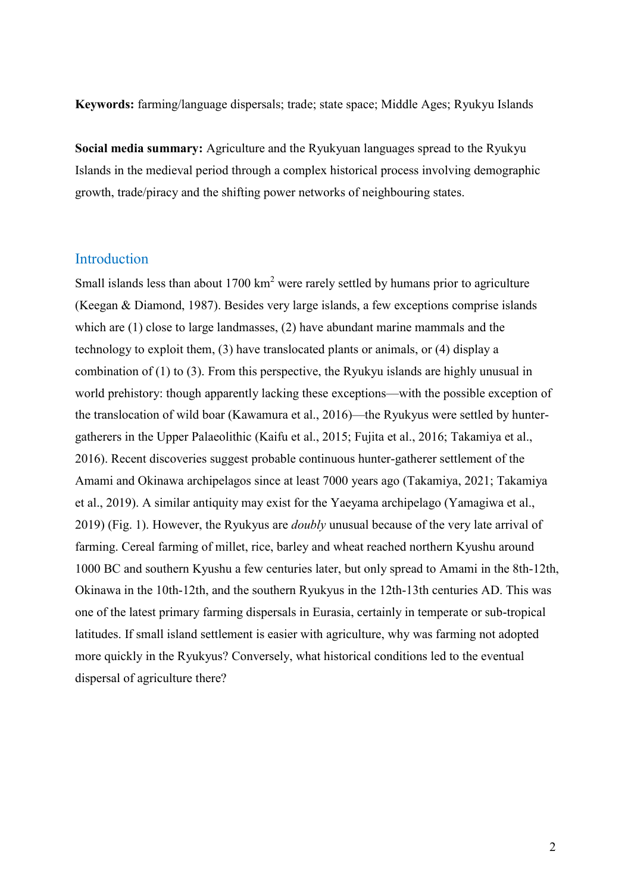**Keywords:** farming/language dispersals; trade; state space; Middle Ages; Ryukyu Islands

**Social media summary:** Agriculture and the Ryukyuan languages spread to the Ryukyu Islands in the medieval period through a complex historical process involving demographic growth, trade/piracy and the shifting power networks of neighbouring states.

#### Introduction

Small islands less than about  $1700 \text{ km}^2$  were rarely settled by humans prior to agriculture (Keegan & Diamond, 1987). Besides very large islands, a few exceptions comprise islands which are (1) close to large landmasses, (2) have abundant marine mammals and the technology to exploit them, (3) have translocated plants or animals, or (4) display a combination of (1) to (3). From this perspective, the Ryukyu islands are highly unusual in world prehistory: though apparently lacking these exceptions—with the possible exception of the translocation of wild boar (Kawamura et al., 2016)—the Ryukyus were settled by huntergatherers in the Upper Palaeolithic (Kaifu et al., 2015; Fujita et al., 2016; Takamiya et al., 2016). Recent discoveries suggest probable continuous hunter-gatherer settlement of the Amami and Okinawa archipelagos since at least 7000 years ago (Takamiya, 2021; Takamiya et al., 2019). A similar antiquity may exist for the Yaeyama archipelago (Yamagiwa et al., 2019) (Fig. 1). However, the Ryukyus are *doubly* unusual because of the very late arrival of farming. Cereal farming of millet, rice, barley and wheat reached northern Kyushu around 1000 BC and southern Kyushu a few centuries later, but only spread to Amami in the 8th-12th, Okinawa in the 10th-12th, and the southern Ryukyus in the 12th-13th centuries AD. This was one of the latest primary farming dispersals in Eurasia, certainly in temperate or sub-tropical latitudes. If small island settlement is easier with agriculture, why was farming not adopted more quickly in the Ryukyus? Conversely, what historical conditions led to the eventual dispersal of agriculture there?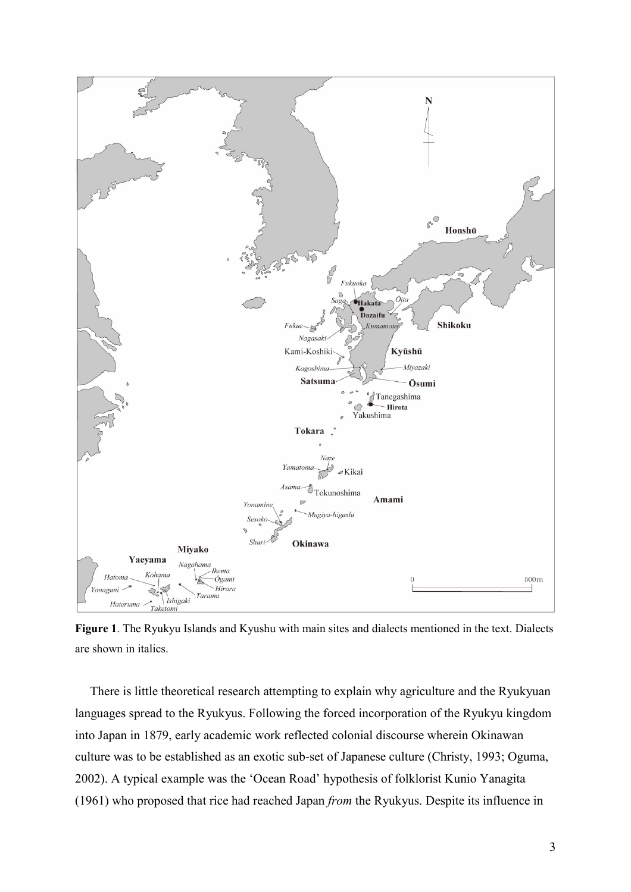

**Figure 1**. The Ryukyu Islands and Kyushu with main sites and dialects mentioned in the text. Dialects are shown in italics.

There is little theoretical research attempting to explain why agriculture and the Ryukyuan languages spread to the Ryukyus. Following the forced incorporation of the Ryukyu kingdom into Japan in 1879, early academic work reflected colonial discourse wherein Okinawan culture was to be established as an exotic sub-set of Japanese culture (Christy, 1993; Oguma, 2002). A typical example was the ‗Ocean Road' hypothesis of folklorist Kunio Yanagita (1961) who proposed that rice had reached Japan *from* the Ryukyus. Despite its influence in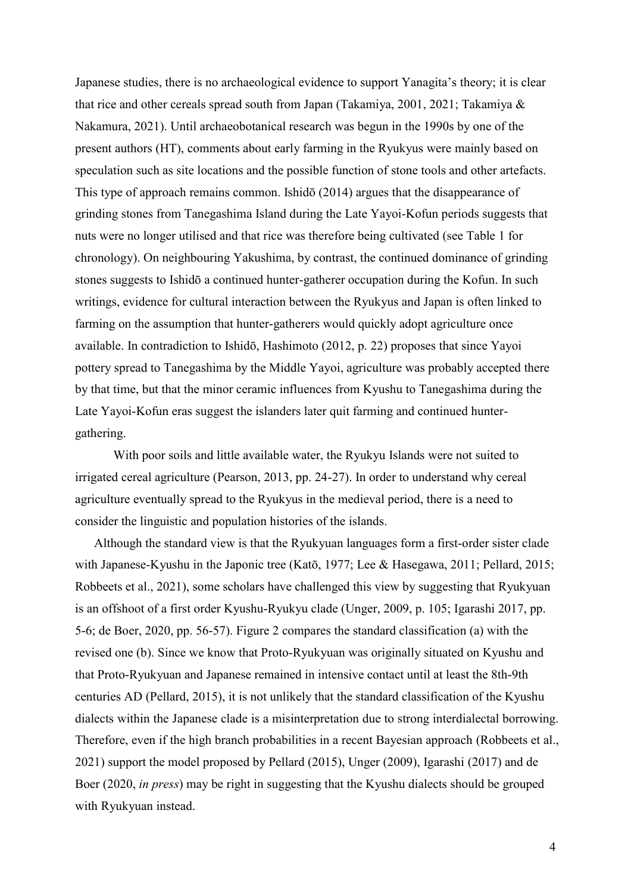Japanese studies, there is no archaeological evidence to support Yanagita's theory; it is clear that rice and other cereals spread south from Japan (Takamiya, 2001, 2021; Takamiya & Nakamura, 2021). Until archaeobotanical research was begun in the 1990s by one of the present authors (HT), comments about early farming in the Ryukyus were mainly based on speculation such as site locations and the possible function of stone tools and other artefacts. This type of approach remains common. Ishidō (2014) argues that the disappearance of grinding stones from Tanegashima Island during the Late Yayoi-Kofun periods suggests that nuts were no longer utilised and that rice was therefore being cultivated (see Table 1 for chronology). On neighbouring Yakushima, by contrast, the continued dominance of grinding stones suggests to Ishidō a continued hunter-gatherer occupation during the Kofun. In such writings, evidence for cultural interaction between the Ryukyus and Japan is often linked to farming on the assumption that hunter-gatherers would quickly adopt agriculture once available. In contradiction to Ishidō, Hashimoto (2012, p. 22) proposes that since Yayoi pottery spread to Tanegashima by the Middle Yayoi, agriculture was probably accepted there by that time, but that the minor ceramic influences from Kyushu to Tanegashima during the Late Yayoi-Kofun eras suggest the islanders later quit farming and continued huntergathering.

With poor soils and little available water, the Ryukyu Islands were not suited to irrigated cereal agriculture (Pearson, 2013, pp. 24-27). In order to understand why cereal agriculture eventually spread to the Ryukyus in the medieval period, there is a need to consider the linguistic and population histories of the islands.

Although the standard view is that the Ryukyuan languages form a first-order sister clade with Japanese-Kyushu in the Japonic tree (Katō, 1977; Lee & Hasegawa, 2011; Pellard, 2015; Robbeets et al., 2021), some scholars have challenged this view by suggesting that Ryukyuan is an offshoot of a first order Kyushu-Ryukyu clade (Unger, 2009, p. 105; Igarashi 2017, pp. 5-6; de Boer, 2020, pp. 56-57). Figure 2 compares the standard classification (a) with the revised one (b). Since we know that Proto-Ryukyuan was originally situated on Kyushu and that Proto-Ryukyuan and Japanese remained in intensive contact until at least the 8th-9th centuries AD (Pellard, 2015), it is not unlikely that the standard classification of the Kyushu dialects within the Japanese clade is a misinterpretation due to strong interdialectal borrowing. Therefore, even if the high branch probabilities in a recent Bayesian approach (Robbeets et al., 2021) support the model proposed by Pellard (2015), Unger (2009), Igarashi (2017) and de Boer (2020, *in press*) may be right in suggesting that the Kyushu dialects should be grouped with Ryukyuan instead.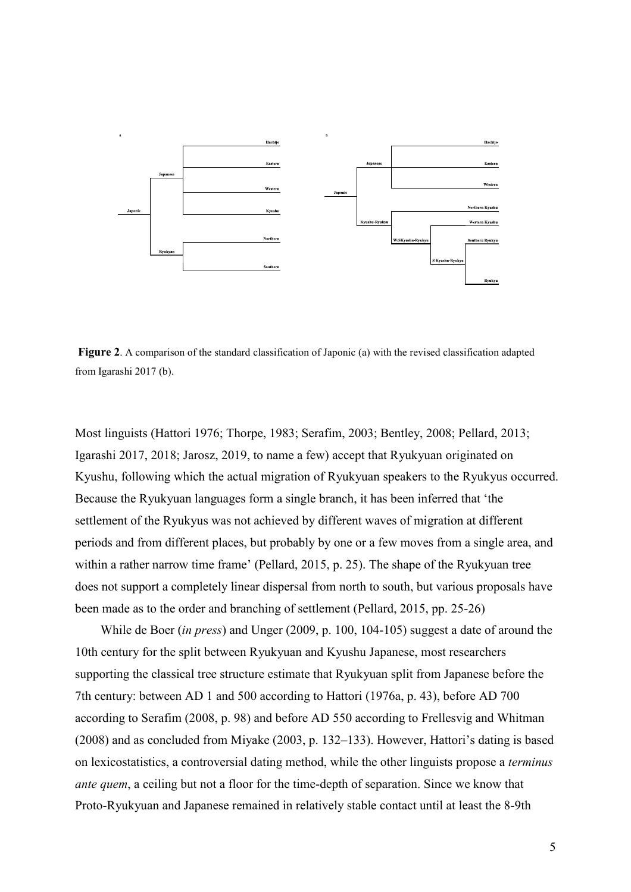

**Figure 2**. A comparison of the standard classification of Japonic (a) with the revised classification adapted from Igarashi 2017 (b).

Most linguists (Hattori 1976; Thorpe, 1983; Serafim, 2003; Bentley, 2008; Pellard, 2013; Igarashi 2017, 2018; Jarosz, 2019, to name a few) accept that Ryukyuan originated on Kyushu, following which the actual migration of Ryukyuan speakers to the Ryukyus occurred. Because the Ryukyuan languages form a single branch, it has been inferred that 'the settlement of the Ryukyus was not achieved by different waves of migration at different periods and from different places, but probably by one or a few moves from a single area, and within a rather narrow time frame' (Pellard, 2015, p. 25). The shape of the Ryukyuan tree does not support a completely linear dispersal from north to south, but various proposals have been made as to the order and branching of settlement (Pellard, 2015, pp. 25-26)

While de Boer (*in press*) and Unger (2009, p. 100, 104-105) suggest a date of around the 10th century for the split between Ryukyuan and Kyushu Japanese, most researchers supporting the classical tree structure estimate that Ryukyuan split from Japanese before the 7th century: between AD 1 and 500 according to Hattori (1976a, p. 43), before AD 700 according to Serafim (2008, p. 98) and before AD 550 according to Frellesvig and Whitman (2008) and as concluded from Miyake (2003, p. 132–133). However, Hattori's dating is based on lexicostatistics, a controversial dating method, while the other linguists propose a *terminus ante quem*, a ceiling but not a floor for the time-depth of separation. Since we know that Proto-Ryukyuan and Japanese remained in relatively stable contact until at least the 8-9th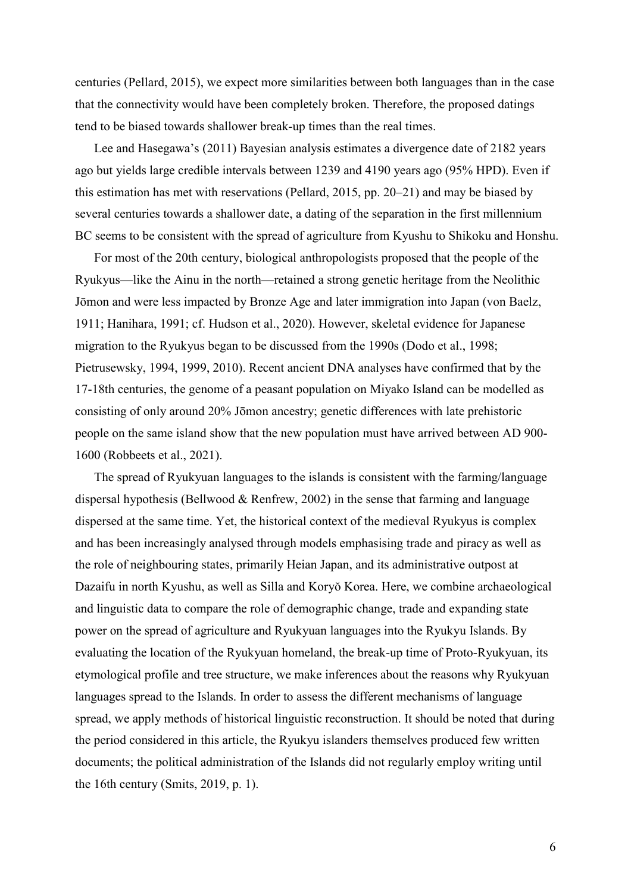centuries (Pellard, 2015), we expect more similarities between both languages than in the case that the connectivity would have been completely broken. Therefore, the proposed datings tend to be biased towards shallower break-up times than the real times.

Lee and Hasegawa's (2011) Bayesian analysis estimates a divergence date of 2182 years ago but yields large credible intervals between 1239 and 4190 years ago (95% HPD). Even if this estimation has met with reservations (Pellard, 2015, pp. 20–21) and may be biased by several centuries towards a shallower date, a dating of the separation in the first millennium BC seems to be consistent with the spread of agriculture from Kyushu to Shikoku and Honshu.

For most of the 20th century, biological anthropologists proposed that the people of the Ryukyus—like the Ainu in the north—retained a strong genetic heritage from the Neolithic Jōmon and were less impacted by Bronze Age and later immigration into Japan (von Baelz, 1911; Hanihara, 1991; cf. Hudson et al., 2020). However, skeletal evidence for Japanese migration to the Ryukyus began to be discussed from the 1990s (Dodo et al., 1998; Pietrusewsky, 1994, 1999, 2010). Recent ancient DNA analyses have confirmed that by the 17-18th centuries, the genome of a peasant population on Miyako Island can be modelled as consisting of only around 20% Jōmon ancestry; genetic differences with late prehistoric people on the same island show that the new population must have arrived between AD 900- 1600 (Robbeets et al., 2021).

The spread of Ryukyuan languages to the islands is consistent with the farming/language dispersal hypothesis (Bellwood & Renfrew, 2002) in the sense that farming and language dispersed at the same time. Yet, the historical context of the medieval Ryukyus is complex and has been increasingly analysed through models emphasising trade and piracy as well as the role of neighbouring states, primarily Heian Japan, and its administrative outpost at Dazaifu in north Kyushu, as well as Silla and Koryŏ Korea. Here, we combine archaeological and linguistic data to compare the role of demographic change, trade and expanding state power on the spread of agriculture and Ryukyuan languages into the Ryukyu Islands. By evaluating the location of the Ryukyuan homeland, the break-up time of Proto-Ryukyuan, its etymological profile and tree structure, we make inferences about the reasons why Ryukyuan languages spread to the Islands. In order to assess the different mechanisms of language spread, we apply methods of historical linguistic reconstruction. It should be noted that during the period considered in this article, the Ryukyu islanders themselves produced few written documents; the political administration of the Islands did not regularly employ writing until the 16th century (Smits, 2019, p. 1).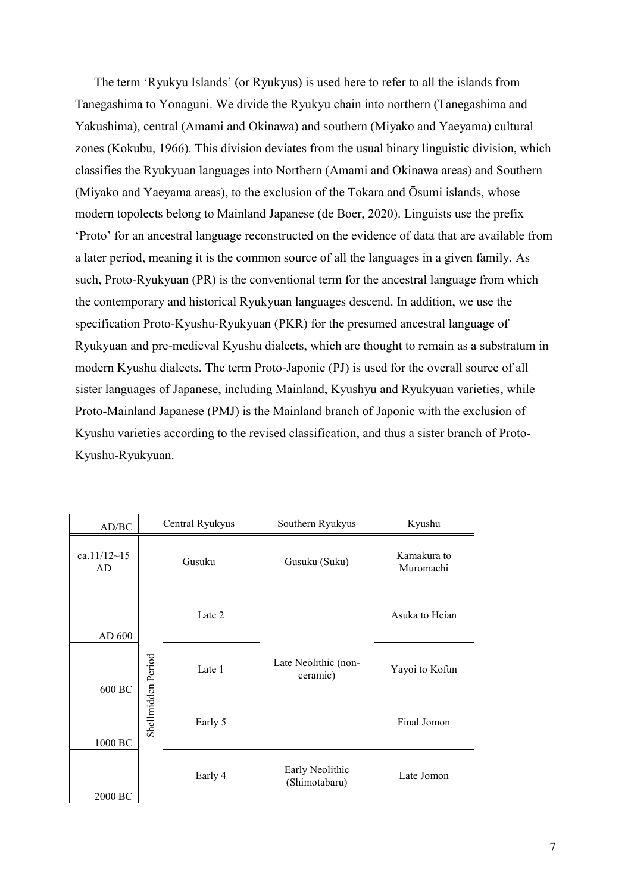The term 'Ryukyu Islands' (or Ryukyus) is used here to refer to all the islands from Tanegashima to Yonaguni. We divide the Ryukyu chain into northern (Tanegashima and Yakushima), central (Amami and Okinawa) and southern (Miyako and Yaeyama) cultural zones (Kokubu, 1966). This division deviates from the usual binary linguistic division, which classifies the Ryukyuan languages into Northern (Amami and Okinawa areas) and Southern (Miyako and Yaeyama areas), to the exclusion of the Tokara and Ōsumi islands, whose modern topolects belong to Mainland Japanese (de Boer, 2020). Linguists use the prefix ‗Proto' for an ancestral language reconstructed on the evidence of data that are available from a later period, meaning it is the common source of all the languages in a given family. As such, Proto-Ryukyuan (PR) is the conventional term for the ancestral language from which the contemporary and historical Ryukyuan languages descend. In addition, we use the specification Proto-Kyushu-Ryukyuan (PKR) for the presumed ancestral language of Ryukyuan and pre-medieval Kyushu dialects, which are thought to remain as a substratum in modern Kyushu dialects. The term Proto-Japonic (PJ) is used for the overall source of all sister languages of Japanese, including Mainland, Kyushyu and Ryukyuan varieties, while Proto-Mainland Japanese (PMJ) is the Mainland branch of Japonic with the exclusion of Kyushu varieties according to the revised classification, and thus a sister branch of Proto-Kyushu-Ryukyuan.

| AD/BC             | Central Ryukyus    |         | Southern Ryukyus                 | Kyushu                   |
|-------------------|--------------------|---------|----------------------------------|--------------------------|
| ca.11/12~15<br>AD |                    | Gusuku  | Gusuku (Suku)                    | Kamakura to<br>Muromachi |
| AD 600            |                    | Late 2  |                                  | Asuka to Heian           |
| 600 BC            | Late 1             |         | Late Neolithic (non-<br>ceramic) | Yayoi to Kofun           |
| 1000 BC           | Shellmidden Period | Early 5 |                                  | Final Jomon              |
| 2000 BC           |                    | Early 4 | Early Neolithic<br>(Shimotabaru) | Late Jomon               |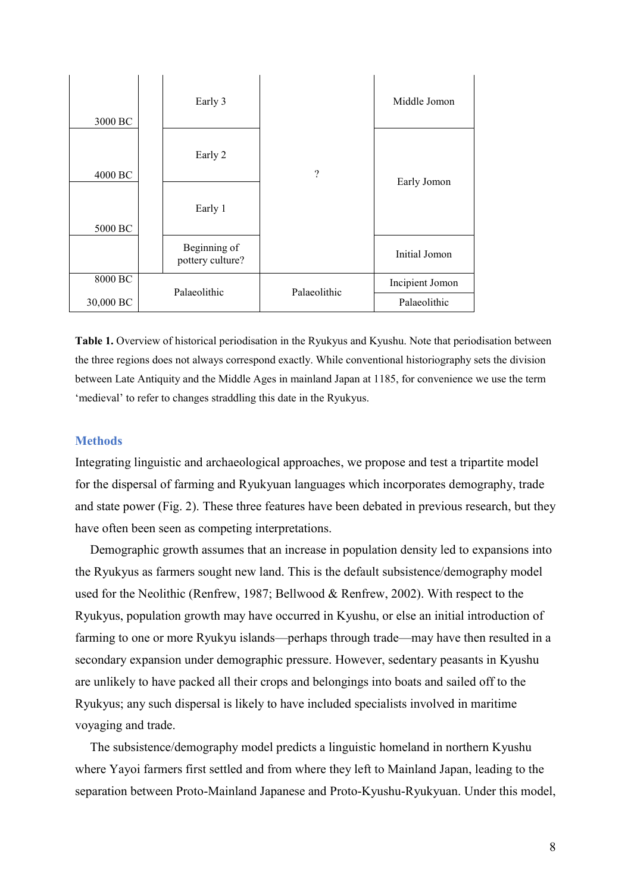| 3000 BC   | Early 3                          |              | Middle Jomon    |
|-----------|----------------------------------|--------------|-----------------|
| 4000 BC   | Early 2                          | ?            | Early Jomon     |
| 5000 BC   | Early 1                          |              |                 |
|           | Beginning of<br>pottery culture? |              | Initial Jomon   |
| 8000 BC   |                                  | Palaeolithic | Incipient Jomon |
| 30,000 BC | Palaeolithic                     |              | Palaeolithic    |

**Table 1.** Overview of historical periodisation in the Ryukyus and Kyushu. Note that periodisation between the three regions does not always correspond exactly. While conventional historiography sets the division between Late Antiquity and the Middle Ages in mainland Japan at 1185, for convenience we use the term ‗medieval' to refer to changes straddling this date in the Ryukyus.

#### **Methods**

Integrating linguistic and archaeological approaches, we propose and test a tripartite model for the dispersal of farming and Ryukyuan languages which incorporates demography, trade and state power (Fig. 2). These three features have been debated in previous research, but they have often been seen as competing interpretations.

Demographic growth assumes that an increase in population density led to expansions into the Ryukyus as farmers sought new land. This is the default subsistence/demography model used for the Neolithic (Renfrew, 1987; Bellwood & Renfrew, 2002). With respect to the Ryukyus, population growth may have occurred in Kyushu, or else an initial introduction of farming to one or more Ryukyu islands—perhaps through trade—may have then resulted in a secondary expansion under demographic pressure. However, sedentary peasants in Kyushu are unlikely to have packed all their crops and belongings into boats and sailed off to the Ryukyus; any such dispersal is likely to have included specialists involved in maritime voyaging and trade.

The subsistence/demography model predicts a linguistic homeland in northern Kyushu where Yayoi farmers first settled and from where they left to Mainland Japan, leading to the separation between Proto-Mainland Japanese and Proto-Kyushu-Ryukyuan. Under this model,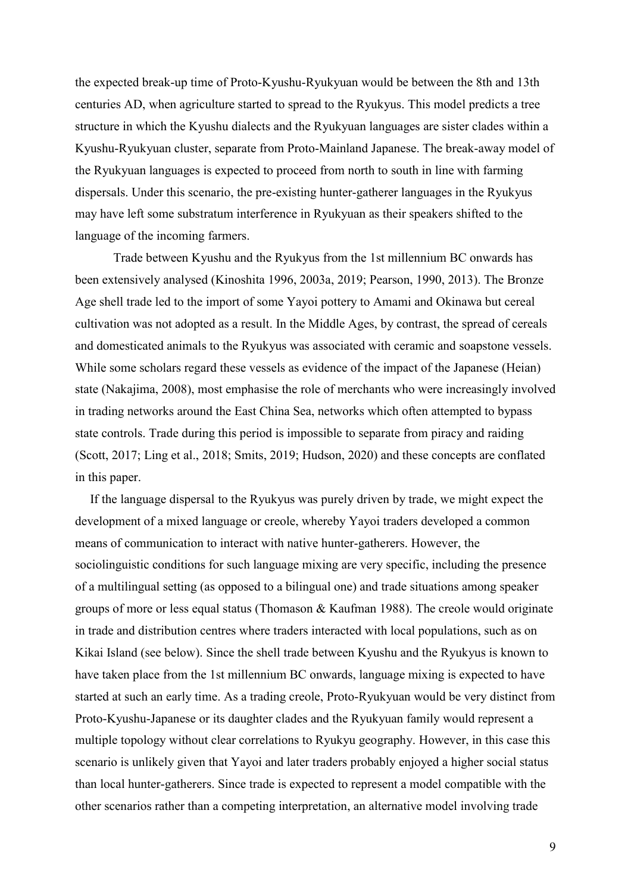the expected break-up time of Proto-Kyushu-Ryukyuan would be between the 8th and 13th centuries AD, when agriculture started to spread to the Ryukyus. This model predicts a tree structure in which the Kyushu dialects and the Ryukyuan languages are sister clades within a Kyushu-Ryukyuan cluster, separate from Proto-Mainland Japanese. The break-away model of the Ryukyuan languages is expected to proceed from north to south in line with farming dispersals. Under this scenario, the pre-existing hunter-gatherer languages in the Ryukyus may have left some substratum interference in Ryukyuan as their speakers shifted to the language of the incoming farmers.

Trade between Kyushu and the Ryukyus from the 1st millennium BC onwards has been extensively analysed (Kinoshita 1996, 2003a, 2019; Pearson, 1990, 2013). The Bronze Age shell trade led to the import of some Yayoi pottery to Amami and Okinawa but cereal cultivation was not adopted as a result. In the Middle Ages, by contrast, the spread of cereals and domesticated animals to the Ryukyus was associated with ceramic and soapstone vessels. While some scholars regard these vessels as evidence of the impact of the Japanese (Heian) state (Nakajima, 2008), most emphasise the role of merchants who were increasingly involved in trading networks around the East China Sea, networks which often attempted to bypass state controls. Trade during this period is impossible to separate from piracy and raiding (Scott, 2017; Ling et al., 2018; Smits, 2019; Hudson, 2020) and these concepts are conflated in this paper.

If the language dispersal to the Ryukyus was purely driven by trade, we might expect the development of a mixed language or creole, whereby Yayoi traders developed a common means of communication to interact with native hunter-gatherers. However, the sociolinguistic conditions for such language mixing are very specific, including the presence of a multilingual setting (as opposed to a bilingual one) and trade situations among speaker groups of more or less equal status (Thomason & Kaufman 1988). The creole would originate in trade and distribution centres where traders interacted with local populations, such as on Kikai Island (see below). Since the shell trade between Kyushu and the Ryukyus is known to have taken place from the 1st millennium BC onwards, language mixing is expected to have started at such an early time. As a trading creole, Proto-Ryukyuan would be very distinct from Proto-Kyushu-Japanese or its daughter clades and the Ryukyuan family would represent a multiple topology without clear correlations to Ryukyu geography. However, in this case this scenario is unlikely given that Yayoi and later traders probably enjoyed a higher social status than local hunter-gatherers. Since trade is expected to represent a model compatible with the other scenarios rather than a competing interpretation, an alternative model involving trade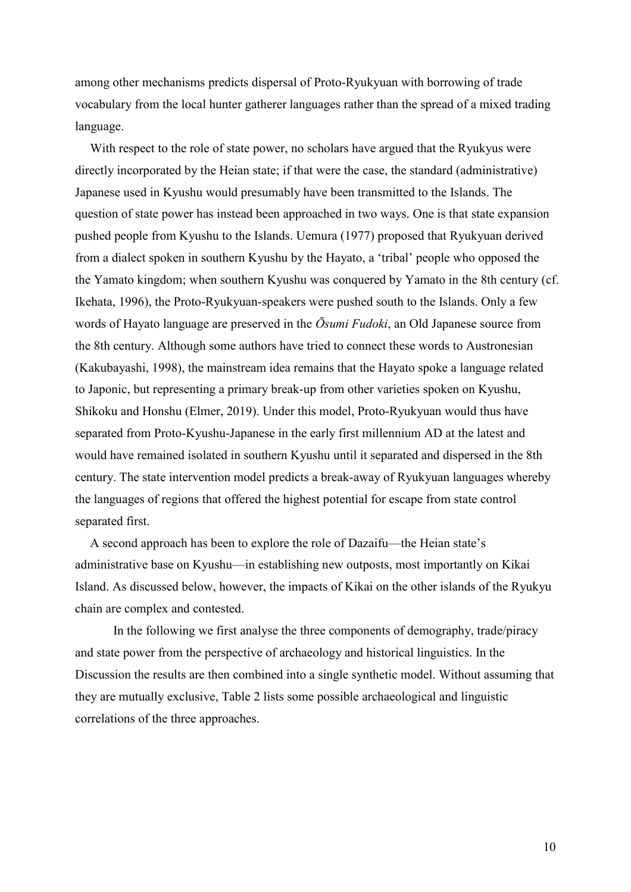among other mechanisms predicts dispersal of Proto-Ryukyuan with borrowing of trade vocabulary from the local hunter gatherer languages rather than the spread of a mixed trading language.

With respect to the role of state power, no scholars have argued that the Ryukyus were directly incorporated by the Heian state; if that were the case, the standard (administrative) Japanese used in Kyushu would presumably have been transmitted to the Islands. The question of state power has instead been approached in two ways. One is that state expansion pushed people from Kyushu to the Islands. Uemura (1977) proposed that Ryukyuan derived from a dialect spoken in southern Kyushu by the Hayato, a ‗tribal' people who opposed the the Yamato kingdom; when southern Kyushu was conquered by Yamato in the 8th century (cf. Ikehata, 1996), the Proto-Ryukyuan-speakers were pushed south to the Islands. Only a few words of Hayato language are preserved in the  $\overline{O}$ *sumi Fudoki*, an Old Japanese source from the 8th century. Although some authors have tried to connect these words to Austronesian (Kakubayashi, 1998), the mainstream idea remains that the Hayato spoke a language related to Japonic, but representing a primary break-up from other varieties spoken on Kyushu, Shikoku and Honshu (Elmer, 2019). Under this model, Proto-Ryukyuan would thus have separated from Proto-Kyushu-Japanese in the early first millennium AD at the latest and would have remained isolated in southern Kyushu until it separated and dispersed in the 8th century. The state intervention model predicts a break-away of Ryukyuan languages whereby the languages of regions that offered the highest potential for escape from state control separated first.

A second approach has been to explore the role of Dazaifu—the Heian state's administrative base on Kyushu—in establishing new outposts, most importantly on Kikai Island. As discussed below, however, the impacts of Kikai on the other islands of the Ryukyu chain are complex and contested.

In the following we first analyse the three components of demography, trade/piracy and state power from the perspective of archaeology and historical linguistics. In the Discussion the results are then combined into a single synthetic model. Without assuming that they are mutually exclusive, Table 2 lists some possible archaeological and linguistic correlations of the three approaches.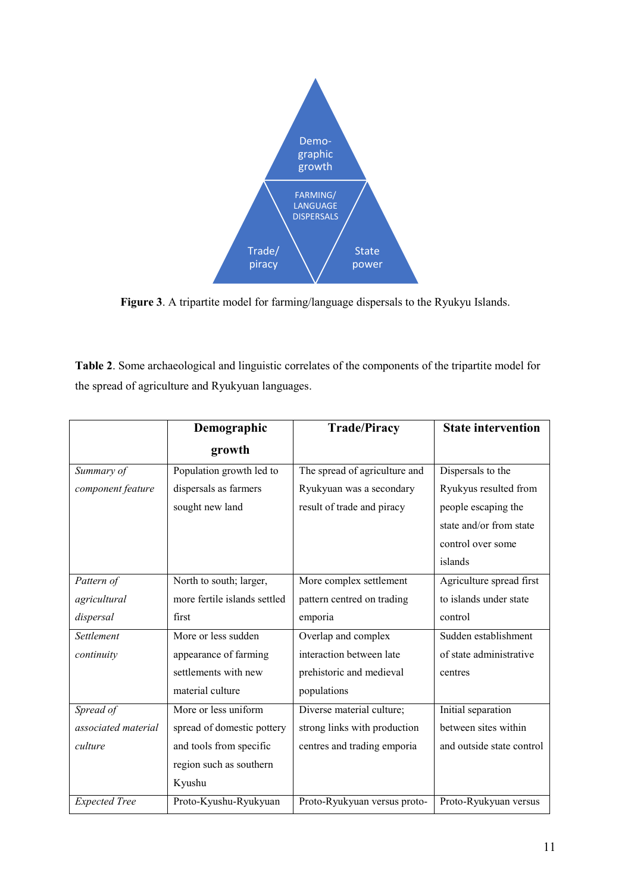

**Figure 3**. A tripartite model for farming/language dispersals to the Ryukyu Islands.

**Table 2**. Some archaeological and linguistic correlates of the components of the tripartite model for the spread of agriculture and Ryukyuan languages.

|                      | Demographic                  | <b>Trade/Piracy</b>           | <b>State intervention</b> |
|----------------------|------------------------------|-------------------------------|---------------------------|
|                      | growth                       |                               |                           |
| Summary of           | Population growth led to     | The spread of agriculture and | Dispersals to the         |
| component feature    | dispersals as farmers        | Ryukyuan was a secondary      | Ryukyus resulted from     |
|                      | sought new land              | result of trade and piracy    | people escaping the       |
|                      |                              |                               | state and/or from state   |
|                      |                              |                               | control over some         |
|                      |                              |                               | islands                   |
| Pattern of           | North to south; larger,      | More complex settlement       | Agriculture spread first  |
| agricultural         | more fertile islands settled | pattern centred on trading    | to islands under state    |
| dispersal            | first                        | emporia                       | control                   |
| Settlement           | More or less sudden          | Overlap and complex           | Sudden establishment      |
| continuity           | appearance of farming        | interaction between late      | of state administrative   |
|                      | settlements with new         | prehistoric and medieval      | centres                   |
|                      | material culture             | populations                   |                           |
| Spread of            | More or less uniform         | Diverse material culture;     | Initial separation        |
| associated material  | spread of domestic pottery   | strong links with production  | between sites within      |
| culture              | and tools from specific      | centres and trading emporia   | and outside state control |
|                      | region such as southern      |                               |                           |
|                      | Kyushu                       |                               |                           |
| <b>Expected Tree</b> | Proto-Kyushu-Ryukyuan        | Proto-Ryukyuan versus proto-  | Proto-Ryukyuan versus     |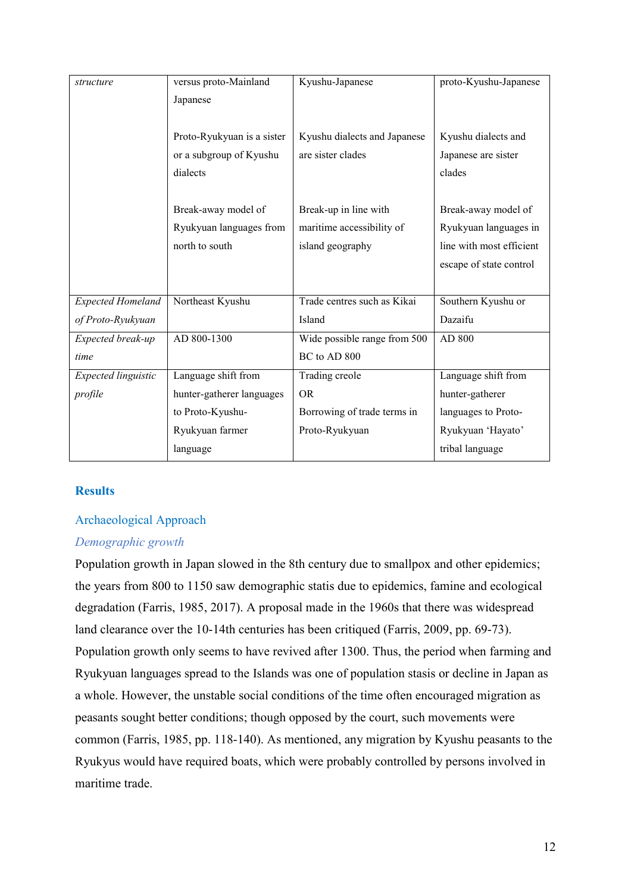| structure                | versus proto-Mainland      | Kyushu-Japanese              | proto-Kyushu-Japanese    |
|--------------------------|----------------------------|------------------------------|--------------------------|
|                          | Japanese                   |                              |                          |
|                          |                            |                              |                          |
|                          | Proto-Ryukyuan is a sister | Kyushu dialects and Japanese | Kyushu dialects and      |
|                          | or a subgroup of Kyushu    | are sister clades            | Japanese are sister      |
|                          | dialects                   |                              | clades                   |
|                          |                            |                              |                          |
|                          | Break-away model of        | Break-up in line with        | Break-away model of      |
|                          | Ryukyuan languages from    | maritime accessibility of    | Ryukyuan languages in    |
|                          | north to south             | island geography             | line with most efficient |
|                          |                            |                              | escape of state control  |
|                          |                            |                              |                          |
| <b>Expected Homeland</b> | Northeast Kyushu           | Trade centres such as Kikai  | Southern Kyushu or       |
| of Proto-Ryukyuan        |                            | Island                       | Dazaifu                  |
| Expected break-up        | AD 800-1300                | Wide possible range from 500 | AD 800                   |
| time                     |                            | BC to AD 800                 |                          |
| Expected linguistic      | Language shift from        | Trading creole               | Language shift from      |
|                          |                            | <b>OR</b>                    |                          |
| profile                  | hunter-gatherer languages  |                              | hunter-gatherer          |
|                          | to Proto-Kyushu-           | Borrowing of trade terms in  | languages to Proto-      |
|                          | Ryukyuan farmer            | Proto-Ryukyuan               | Ryukyuan 'Hayato'        |
|                          |                            |                              |                          |

## **Results**

#### Archaeological Approach

## *Demographic growth*

Population growth in Japan slowed in the 8th century due to smallpox and other epidemics; the years from 800 to 1150 saw demographic statis due to epidemics, famine and ecological degradation (Farris, 1985, 2017). A proposal made in the 1960s that there was widespread land clearance over the 10-14th centuries has been critiqued (Farris, 2009, pp. 69-73). Population growth only seems to have revived after 1300. Thus, the period when farming and Ryukyuan languages spread to the Islands was one of population stasis or decline in Japan as a whole. However, the unstable social conditions of the time often encouraged migration as peasants sought better conditions; though opposed by the court, such movements were common (Farris, 1985, pp. 118-140). As mentioned, any migration by Kyushu peasants to the Ryukyus would have required boats, which were probably controlled by persons involved in maritime trade.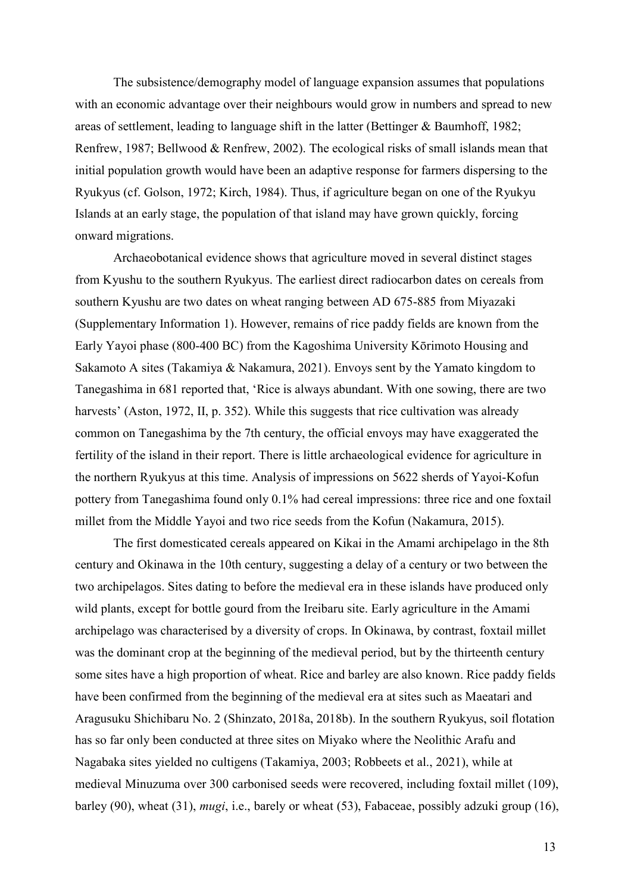The subsistence/demography model of language expansion assumes that populations with an economic advantage over their neighbours would grow in numbers and spread to new areas of settlement, leading to language shift in the latter (Bettinger & Baumhoff, 1982; Renfrew, 1987; Bellwood & Renfrew, 2002). The ecological risks of small islands mean that initial population growth would have been an adaptive response for farmers dispersing to the Ryukyus (cf. Golson, 1972; Kirch, 1984). Thus, if agriculture began on one of the Ryukyu Islands at an early stage, the population of that island may have grown quickly, forcing onward migrations.

Archaeobotanical evidence shows that agriculture moved in several distinct stages from Kyushu to the southern Ryukyus. The earliest direct radiocarbon dates on cereals from southern Kyushu are two dates on wheat ranging between AD 675-885 from Miyazaki (Supplementary Information 1). However, remains of rice paddy fields are known from the Early Yayoi phase (800-400 BC) from the Kagoshima University Kōrimoto Housing and Sakamoto A sites (Takamiya & Nakamura, 2021). Envoys sent by the Yamato kingdom to Tanegashima in 681 reported that, 'Rice is always abundant. With one sowing, there are two harvests' (Aston, 1972, II, p. 352). While this suggests that rice cultivation was already common on Tanegashima by the 7th century, the official envoys may have exaggerated the fertility of the island in their report. There is little archaeological evidence for agriculture in the northern Ryukyus at this time. Analysis of impressions on 5622 sherds of Yayoi-Kofun pottery from Tanegashima found only 0.1% had cereal impressions: three rice and one foxtail millet from the Middle Yayoi and two rice seeds from the Kofun (Nakamura, 2015).

The first domesticated cereals appeared on Kikai in the Amami archipelago in the 8th century and Okinawa in the 10th century, suggesting a delay of a century or two between the two archipelagos. Sites dating to before the medieval era in these islands have produced only wild plants, except for bottle gourd from the Ireibaru site. Early agriculture in the Amami archipelago was characterised by a diversity of crops. In Okinawa, by contrast, foxtail millet was the dominant crop at the beginning of the medieval period, but by the thirteenth century some sites have a high proportion of wheat. Rice and barley are also known. Rice paddy fields have been confirmed from the beginning of the medieval era at sites such as Maeatari and Aragusuku Shichibaru No. 2 (Shinzato, 2018a, 2018b). In the southern Ryukyus, soil flotation has so far only been conducted at three sites on Miyako where the Neolithic Arafu and Nagabaka sites yielded no cultigens (Takamiya, 2003; Robbeets et al., 2021), while at medieval Minuzuma over 300 carbonised seeds were recovered, including foxtail millet (109), barley (90), wheat (31), *mugi*, i.e., barely or wheat (53), Fabaceae, possibly adzuki group (16),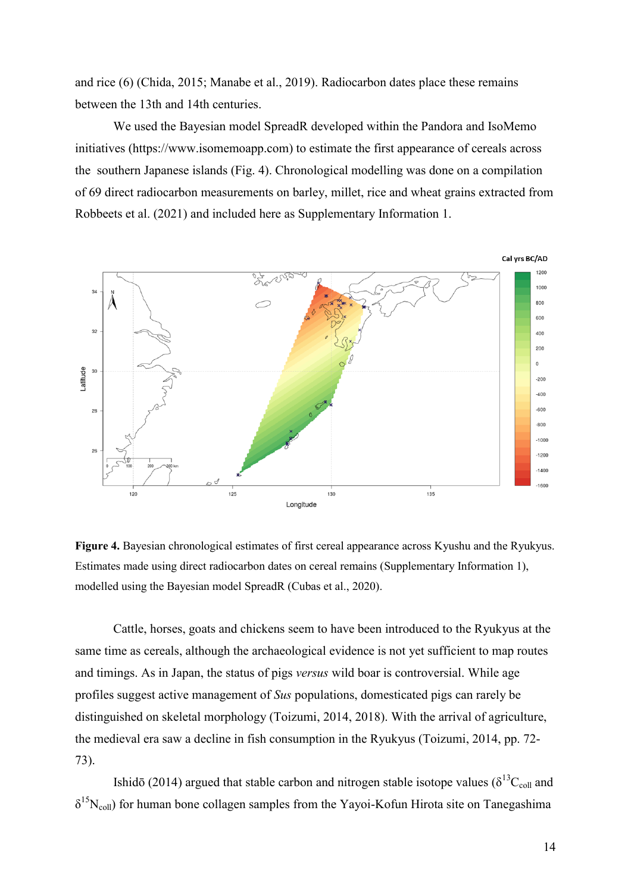and rice (6) (Chida, 2015; Manabe et al., 2019). Radiocarbon dates place these remains between the 13th and 14th centuries.

We used the Bayesian model SpreadR developed within the Pandora and IsoMemo initiatives (https://www.isomemoapp.com) to estimate the first appearance of cereals across the southern Japanese islands (Fig. 4). Chronological modelling was done on a compilation of 69 direct radiocarbon measurements on barley, millet, rice and wheat grains extracted from Robbeets et al. (2021) and included here as Supplementary Information 1.



**Figure 4.** Bayesian chronological estimates of first cereal appearance across Kyushu and the Ryukyus. Estimates made using direct radiocarbon dates on cereal remains (Supplementary Information 1), modelled using the Bayesian model SpreadR (Cubas et al., 2020).

Cattle, horses, goats and chickens seem to have been introduced to the Ryukyus at the same time as cereals, although the archaeological evidence is not yet sufficient to map routes and timings. As in Japan, the status of pigs *versus* wild boar is controversial. While age profiles suggest active management of *Sus* populations, domesticated pigs can rarely be distinguished on skeletal morphology (Toizumi, 2014, 2018). With the arrival of agriculture, the medieval era saw a decline in fish consumption in the Ryukyus (Toizumi, 2014, pp. 72- 73).

Ishidō (2014) argued that stable carbon and nitrogen stable isotope values ( $\delta^{13}C_{coll}$  and  $\delta^{15}N_{\text{coll}}$ ) for human bone collagen samples from the Yayoi-Kofun Hirota site on Tanegashima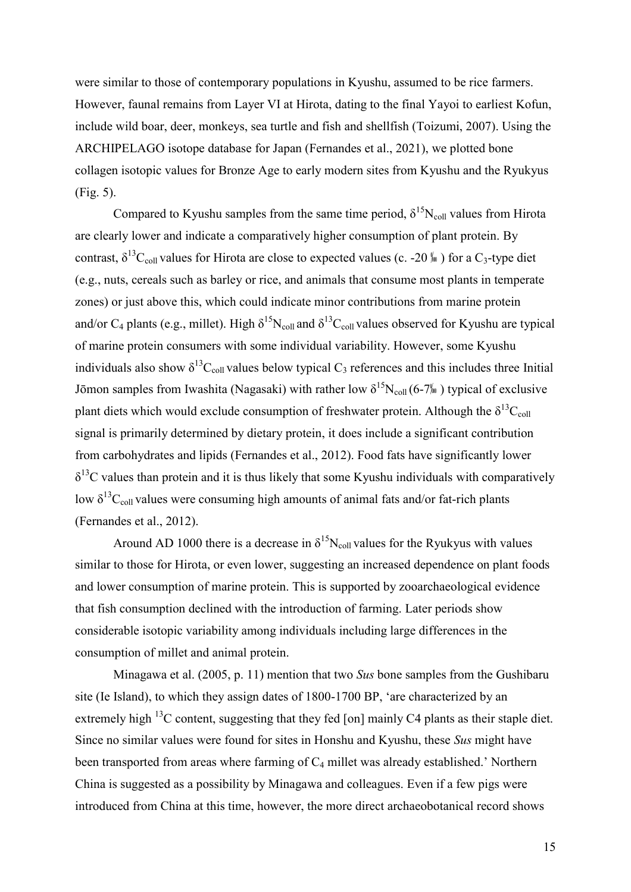were similar to those of contemporary populations in Kyushu, assumed to be rice farmers. However, faunal remains from Layer VI at Hirota, dating to the final Yayoi to earliest Kofun, include wild boar, deer, monkeys, sea turtle and fish and shellfish (Toizumi, 2007). Using the ARCHIPELAGO isotope database for Japan (Fernandes et al., 2021), we plotted bone collagen isotopic values for Bronze Age to early modern sites from Kyushu and the Ryukyus (Fig. 5).

Compared to Kyushu samples from the same time period,  $\delta^{15}N_{coll}$  values from Hirota are clearly lower and indicate a comparatively higher consumption of plant protein. By contrast,  $\delta^{13}C_{coll}$  values for Hirota are close to expected values (c. -20 ‰) for a C<sub>3</sub>-type diet (e.g., nuts, cereals such as barley or rice, and animals that consume most plants in temperate zones) or just above this, which could indicate minor contributions from marine protein and/or  $C_4$  plants (e.g., millet). High  $\delta^{15}N_{\text{coll}}$  and  $\delta^{13}C_{\text{coll}}$  values observed for Kyushu are typical of marine protein consumers with some individual variability. However, some Kyushu individuals also show  $\delta^{13}C_{coll}$  values below typical  $C_3$  references and this includes three Initial Jōmon samples from Iwashita (Nagasaki) with rather low  $\delta^{15}N_{coll}(6-7\omega)$  typical of exclusive plant diets which would exclude consumption of freshwater protein. Although the  $\delta^{13}C_{coll}$ signal is primarily determined by dietary protein, it does include a significant contribution from carbohydrates and lipids (Fernandes et al., 2012). Food fats have significantly lower  $\delta^{13}$ C values than protein and it is thus likely that some Kyushu individuals with comparatively low  $\delta^{13}C_{\text{coll}}$  values were consuming high amounts of animal fats and/or fat-rich plants (Fernandes et al., 2012).

Around AD 1000 there is a decrease in  $\delta^{15}N_{coll}$  values for the Ryukyus with values similar to those for Hirota, or even lower, suggesting an increased dependence on plant foods and lower consumption of marine protein. This is supported by zooarchaeological evidence that fish consumption declined with the introduction of farming. Later periods show considerable isotopic variability among individuals including large differences in the consumption of millet and animal protein.

Minagawa et al. (2005, p. 11) mention that two *Sus* bone samples from the Gushibaru site (Ie Island), to which they assign dates of 1800-1700 BP, 'are characterized by an extremely high <sup>13</sup>C content, suggesting that they fed [on] mainly C4 plants as their staple diet. Since no similar values were found for sites in Honshu and Kyushu, these *Sus* might have been transported from areas where farming of  $C_4$  millet was already established.' Northern China is suggested as a possibility by Minagawa and colleagues. Even if a few pigs were introduced from China at this time, however, the more direct archaeobotanical record shows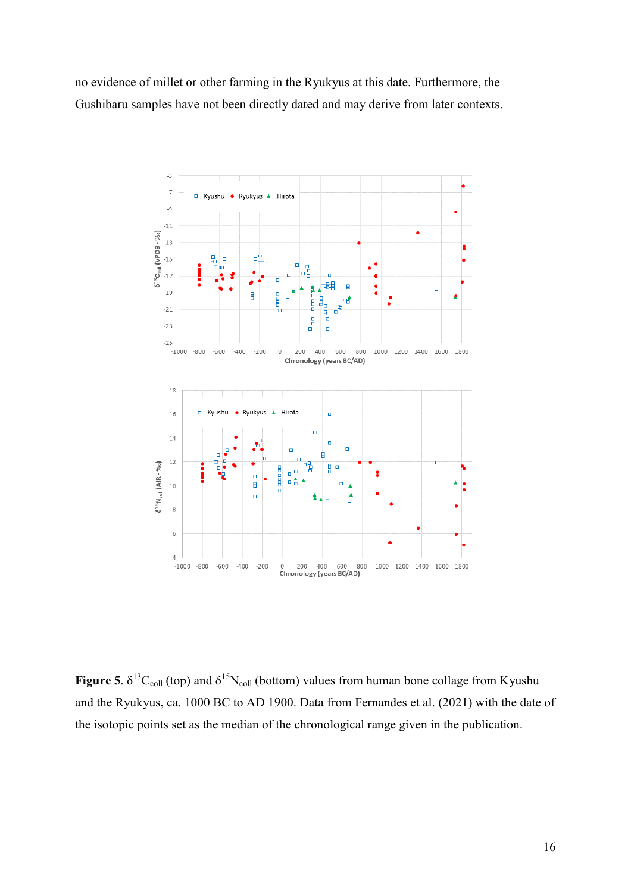no evidence of millet or other farming in the Ryukyus at this date. Furthermore, the Gushibaru samples have not been directly dated and may derive from later contexts.



**Figure 5**.  $\delta^{13}C_{coll}$  (top) and  $\delta^{15}N_{coll}$  (bottom) values from human bone collage from Kyushu and the Ryukyus, ca. 1000 BC to AD 1900. Data from Fernandes et al. (2021) with the date of the isotopic points set as the median of the chronological range given in the publication.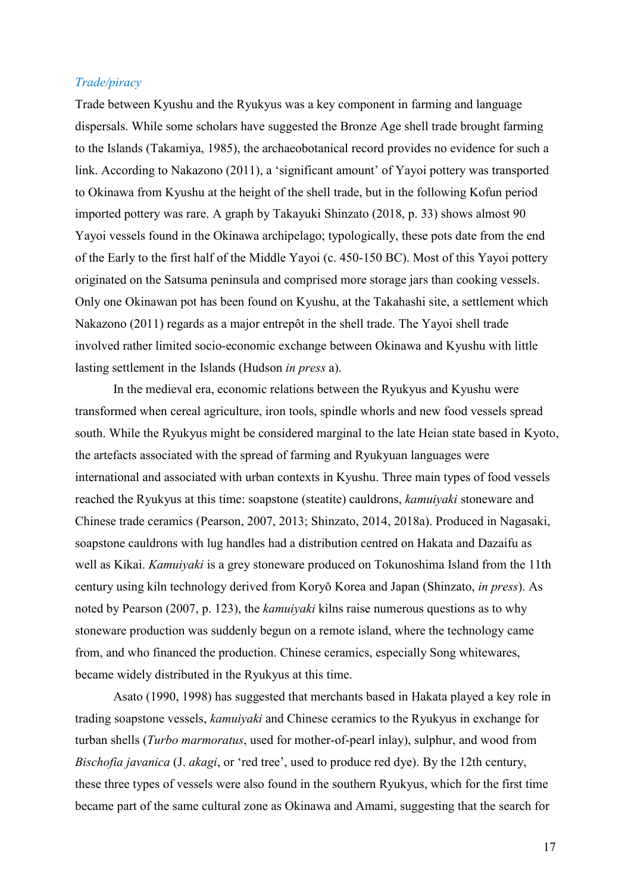#### *Trade/piracy*

Trade between Kyushu and the Ryukyus was a key component in farming and language dispersals. While some scholars have suggested the Bronze Age shell trade brought farming to the Islands (Takamiya, 1985), the archaeobotanical record provides no evidence for such a link. According to Nakazono (2011), a 'significant amount' of Yayoi pottery was transported to Okinawa from Kyushu at the height of the shell trade, but in the following Kofun period imported pottery was rare. A graph by Takayuki Shinzato (2018, p. 33) shows almost 90 Yayoi vessels found in the Okinawa archipelago; typologically, these pots date from the end of the Early to the first half of the Middle Yayoi (c. 450-150 BC). Most of this Yayoi pottery originated on the Satsuma peninsula and comprised more storage jars than cooking vessels. Only one Okinawan pot has been found on Kyushu, at the Takahashi site, a settlement which Nakazono (2011) regards as a major entrepôt in the shell trade. The Yayoi shell trade involved rather limited socio-economic exchange between Okinawa and Kyushu with little lasting settlement in the Islands (Hudson *in press* a).

In the medieval era, economic relations between the Ryukyus and Kyushu were transformed when cereal agriculture, iron tools, spindle whorls and new food vessels spread south. While the Ryukyus might be considered marginal to the late Heian state based in Kyoto, the artefacts associated with the spread of farming and Ryukyuan languages were international and associated with urban contexts in Kyushu. Three main types of food vessels reached the Ryukyus at this time: soapstone (steatite) cauldrons, *kamuiyaki* stoneware and Chinese trade ceramics (Pearson, 2007, 2013; Shinzato, 2014, 2018a). Produced in Nagasaki, soapstone cauldrons with lug handles had a distribution centred on Hakata and Dazaifu as well as Kikai. *Kamuiyaki* is a grey stoneware produced on Tokunoshima Island from the 11th century using kiln technology derived from Koryŏ Korea and Japan (Shinzato, *in press*). As noted by Pearson (2007, p. 123), the *kamuiyaki* kilns raise numerous questions as to why stoneware production was suddenly begun on a remote island, where the technology came from, and who financed the production. Chinese ceramics, especially Song whitewares, became widely distributed in the Ryukyus at this time.

Asato (1990, 1998) has suggested that merchants based in Hakata played a key role in trading soapstone vessels, *kamuiyaki* and Chinese ceramics to the Ryukyus in exchange for turban shells (*Turbo marmoratus*, used for mother-of-pearl inlay), sulphur, and wood from *Bischofia javanica* (*J. akagi*, or 'red tree', used to produce red dye). By the 12th century, these three types of vessels were also found in the southern Ryukyus, which for the first time became part of the same cultural zone as Okinawa and Amami, suggesting that the search for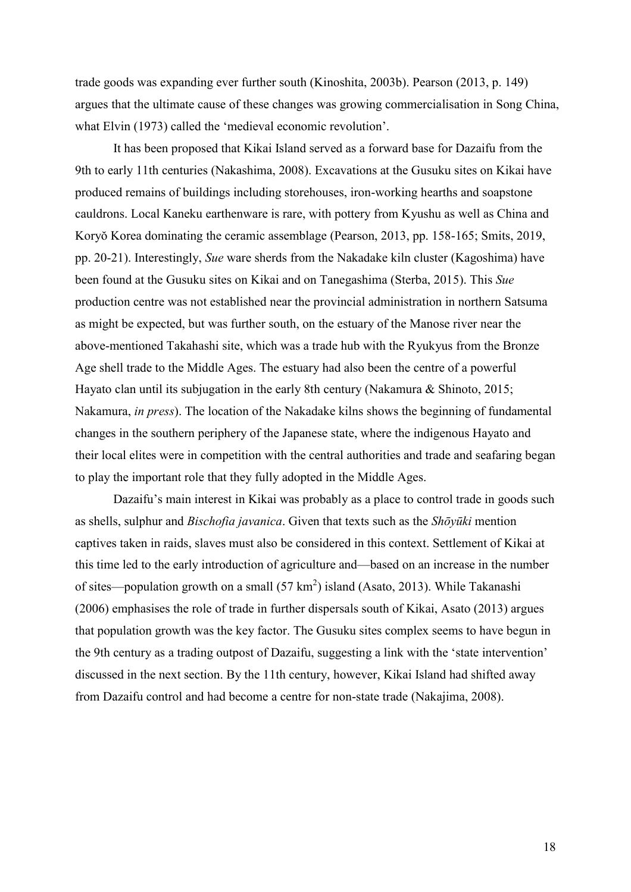trade goods was expanding ever further south (Kinoshita, 2003b). Pearson (2013, p. 149) argues that the ultimate cause of these changes was growing commercialisation in Song China, what Elvin (1973) called the 'medieval economic revolution'.

It has been proposed that Kikai Island served as a forward base for Dazaifu from the 9th to early 11th centuries (Nakashima, 2008). Excavations at the Gusuku sites on Kikai have produced remains of buildings including storehouses, iron-working hearths and soapstone cauldrons. Local Kaneku earthenware is rare, with pottery from Kyushu as well as China and Koryŏ Korea dominating the ceramic assemblage (Pearson, 2013, pp. 158-165; Smits, 2019, pp. 20-21). Interestingly, *Sue* ware sherds from the Nakadake kiln cluster (Kagoshima) have been found at the Gusuku sites on Kikai and on Tanegashima (Sterba, 2015). This *Sue* production centre was not established near the provincial administration in northern Satsuma as might be expected, but was further south, on the estuary of the Manose river near the above-mentioned Takahashi site, which was a trade hub with the Ryukyus from the Bronze Age shell trade to the Middle Ages. The estuary had also been the centre of a powerful Hayato clan until its subjugation in the early 8th century (Nakamura & Shinoto, 2015; Nakamura, *in press*). The location of the Nakadake kilns shows the beginning of fundamental changes in the southern periphery of the Japanese state, where the indigenous Hayato and their local elites were in competition with the central authorities and trade and seafaring began to play the important role that they fully adopted in the Middle Ages.

Dazaifu's main interest in Kikai was probably as a place to control trade in goods such as shells, sulphur and *Bischofia javanica*. Given that texts such as the *Shōyūki* mention captives taken in raids, slaves must also be considered in this context. Settlement of Kikai at this time led to the early introduction of agriculture and—based on an increase in the number of sites—population growth on a small  $(57 \text{ km}^2)$  island (Asato, 2013). While Takanashi (2006) emphasises the role of trade in further dispersals south of Kikai, Asato (2013) argues that population growth was the key factor. The Gusuku sites complex seems to have begun in the 9th century as a trading outpost of Dazaifu, suggesting a link with the 'state intervention' discussed in the next section. By the 11th century, however, Kikai Island had shifted away from Dazaifu control and had become a centre for non-state trade (Nakajima, 2008).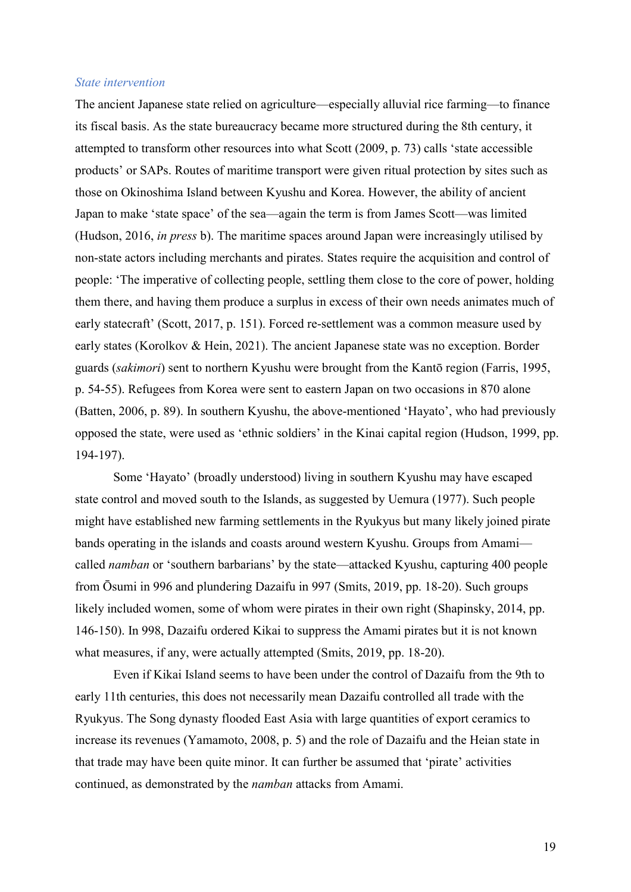#### *State intervention*

The ancient Japanese state relied on agriculture—especially alluvial rice farming—to finance its fiscal basis. As the state bureaucracy became more structured during the 8th century, it attempted to transform other resources into what Scott (2009, p. 73) calls 'state accessible products' or SAPs. Routes of maritime transport were given ritual protection by sites such as those on Okinoshima Island between Kyushu and Korea. However, the ability of ancient Japan to make 'state space' of the sea—again the term is from James Scott—was limited (Hudson, 2016, *in press* b). The maritime spaces around Japan were increasingly utilised by non-state actors including merchants and pirates. States require the acquisition and control of people: ‗The imperative of collecting people, settling them close to the core of power, holding them there, and having them produce a surplus in excess of their own needs animates much of early statecraft' (Scott, 2017, p. 151). Forced re-settlement was a common measure used by early states (Korolkov & Hein, 2021). The ancient Japanese state was no exception. Border guards (*sakimori*) sent to northern Kyushu were brought from the Kantō region (Farris, 1995, p. 54-55). Refugees from Korea were sent to eastern Japan on two occasions in 870 alone (Batten, 2006, p. 89). In southern Kyushu, the above-mentioned 'Hayato', who had previously opposed the state, were used as ‗ethnic soldiers' in the Kinai capital region (Hudson, 1999, pp. 194-197).

Some 'Hayato' (broadly understood) living in southern Kyushu may have escaped state control and moved south to the Islands, as suggested by Uemura (1977). Such people might have established new farming settlements in the Ryukyus but many likely joined pirate bands operating in the islands and coasts around western Kyushu. Groups from Amami called *namban* or 'southern barbarians' by the state—attacked Kyushu, capturing 400 people from Ōsumi in 996 and plundering Dazaifu in 997 (Smits, 2019, pp. 18-20). Such groups likely included women, some of whom were pirates in their own right (Shapinsky, 2014, pp. 146-150). In 998, Dazaifu ordered Kikai to suppress the Amami pirates but it is not known what measures, if any, were actually attempted (Smits, 2019, pp. 18-20).

Even if Kikai Island seems to have been under the control of Dazaifu from the 9th to early 11th centuries, this does not necessarily mean Dazaifu controlled all trade with the Ryukyus. The Song dynasty flooded East Asia with large quantities of export ceramics to increase its revenues (Yamamoto, 2008, p. 5) and the role of Dazaifu and the Heian state in that trade may have been quite minor. It can further be assumed that 'pirate' activities continued, as demonstrated by the *namban* attacks from Amami.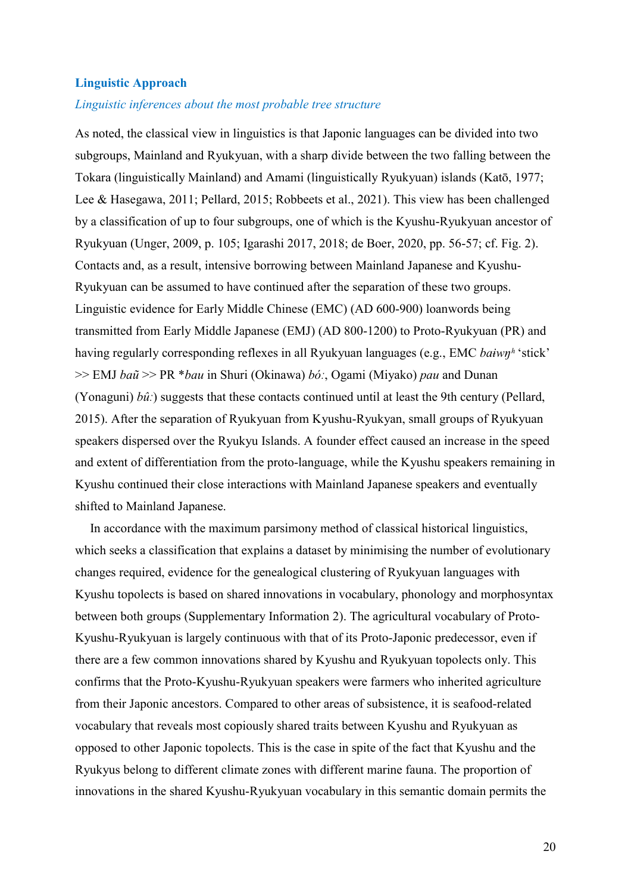#### **Linguistic Approach**

#### *Linguistic inferences about the most probable tree structure*

As noted, the classical view in linguistics is that Japonic languages can be divided into two subgroups, Mainland and Ryukyuan, with a sharp divide between the two falling between the Tokara (linguistically Mainland) and Amami (linguistically Ryukyuan) islands (Katō, 1977; Lee & Hasegawa, 2011; Pellard, 2015; Robbeets et al., 2021). This view has been challenged by a classification of up to four subgroups, one of which is the Kyushu-Ryukyuan ancestor of Ryukyuan (Unger, 2009, p. 105; Igarashi 2017, 2018; de Boer, 2020, pp. 56-57; cf. Fig. 2). Contacts and, as a result, intensive borrowing between Mainland Japanese and Kyushu-Ryukyuan can be assumed to have continued after the separation of these two groups. Linguistic evidence for Early Middle Chinese (EMC) (AD 600-900) loanwords being transmitted from Early Middle Japanese (EMJ) (AD 800-1200) to Proto-Ryukyuan (PR) and having regularly corresponding reflexes in all Ryukyuan languages (e.g., EMC *baiwn<sup>h</sup>* 'stick' >> EMJ *baũ* >> PR \**bau* in Shuri (Okinawa) *bóː*, Ogami (Miyako) *pau* and Dunan (Yonaguni) *bûː*) suggests that these contacts continued until at least the 9th century (Pellard, 2015). After the separation of Ryukyuan from Kyushu-Ryukyan, small groups of Ryukyuan speakers dispersed over the Ryukyu Islands. A founder effect caused an increase in the speed and extent of differentiation from the proto-language, while the Kyushu speakers remaining in Kyushu continued their close interactions with Mainland Japanese speakers and eventually shifted to Mainland Japanese.

In accordance with the maximum parsimony method of classical historical linguistics, which seeks a classification that explains a dataset by minimising the number of evolutionary changes required, evidence for the genealogical clustering of Ryukyuan languages with Kyushu topolects is based on shared innovations in vocabulary, phonology and morphosyntax between both groups (Supplementary Information 2). The agricultural vocabulary of Proto-Kyushu-Ryukyuan is largely continuous with that of its Proto-Japonic predecessor, even if there are a few common innovations shared by Kyushu and Ryukyuan topolects only. This confirms that the Proto-Kyushu-Ryukyuan speakers were farmers who inherited agriculture from their Japonic ancestors. Compared to other areas of subsistence, it is seafood-related vocabulary that reveals most copiously shared traits between Kyushu and Ryukyuan as opposed to other Japonic topolects. This is the case in spite of the fact that Kyushu and the Ryukyus belong to different climate zones with different marine fauna. The proportion of innovations in the shared Kyushu-Ryukyuan vocabulary in this semantic domain permits the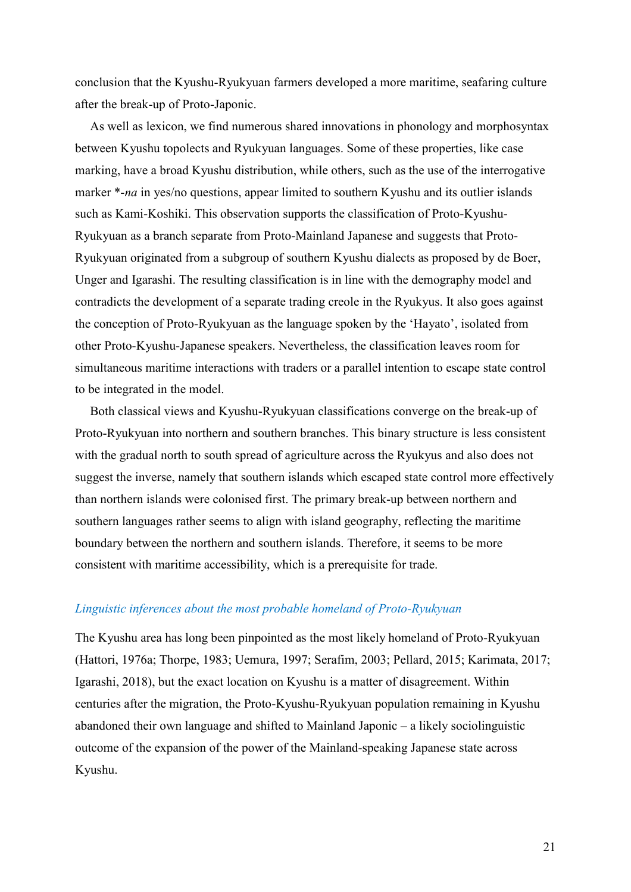conclusion that the Kyushu-Ryukyuan farmers developed a more maritime, seafaring culture after the break-up of Proto-Japonic.

As well as lexicon, we find numerous shared innovations in phonology and morphosyntax between Kyushu topolects and Ryukyuan languages. Some of these properties, like case marking, have a broad Kyushu distribution, while others, such as the use of the interrogative marker \*-*na* in yes/no questions, appear limited to southern Kyushu and its outlier islands such as Kami-Koshiki. This observation supports the classification of Proto-Kyushu-Ryukyuan as a branch separate from Proto-Mainland Japanese and suggests that Proto-Ryukyuan originated from a subgroup of southern Kyushu dialects as proposed by de Boer, Unger and Igarashi. The resulting classification is in line with the demography model and contradicts the development of a separate trading creole in the Ryukyus. It also goes against the conception of Proto-Ryukyuan as the language spoken by the ‗Hayato', isolated from other Proto-Kyushu-Japanese speakers. Nevertheless, the classification leaves room for simultaneous maritime interactions with traders or a parallel intention to escape state control to be integrated in the model.

Both classical views and Kyushu-Ryukyuan classifications converge on the break-up of Proto-Ryukyuan into northern and southern branches. This binary structure is less consistent with the gradual north to south spread of agriculture across the Ryukyus and also does not suggest the inverse, namely that southern islands which escaped state control more effectively than northern islands were colonised first. The primary break-up between northern and southern languages rather seems to align with island geography, reflecting the maritime boundary between the northern and southern islands. Therefore, it seems to be more consistent with maritime accessibility, which is a prerequisite for trade.

### *Linguistic inferences about the most probable homeland of Proto-Ryukyuan*

The Kyushu area has long been pinpointed as the most likely homeland of Proto-Ryukyuan (Hattori, 1976a; Thorpe, 1983; Uemura, 1997; Serafim, 2003; Pellard, 2015; Karimata, 2017; Igarashi, 2018), but the exact location on Kyushu is a matter of disagreement. Within centuries after the migration, the Proto-Kyushu-Ryukyuan population remaining in Kyushu abandoned their own language and shifted to Mainland Japonic – a likely sociolinguistic outcome of the expansion of the power of the Mainland-speaking Japanese state across Kyushu.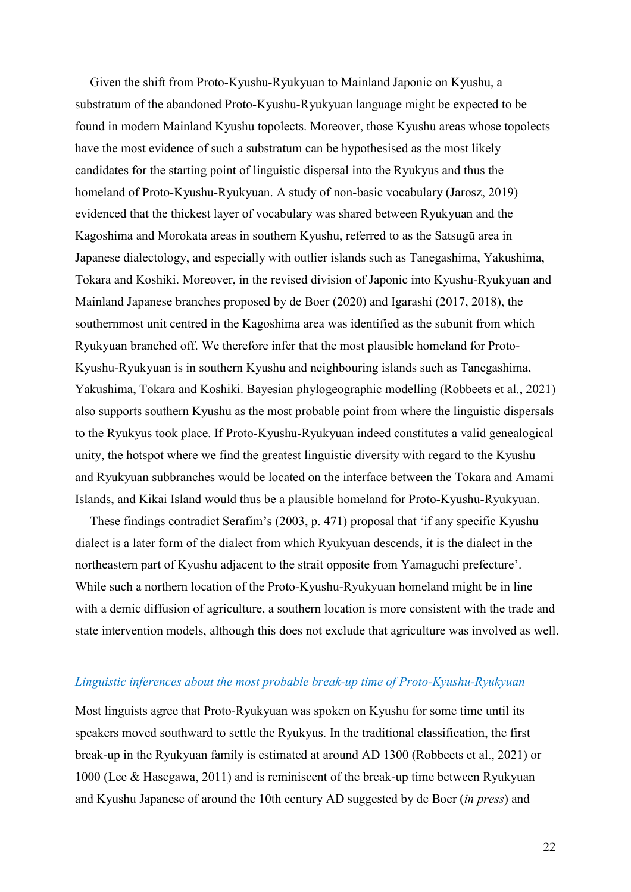Given the shift from Proto-Kyushu-Ryukyuan to Mainland Japonic on Kyushu, a substratum of the abandoned Proto-Kyushu-Ryukyuan language might be expected to be found in modern Mainland Kyushu topolects. Moreover, those Kyushu areas whose topolects have the most evidence of such a substratum can be hypothesised as the most likely candidates for the starting point of linguistic dispersal into the Ryukyus and thus the homeland of Proto-Kyushu-Ryukyuan. A study of non-basic vocabulary (Jarosz, 2019) evidenced that the thickest layer of vocabulary was shared between Ryukyuan and the Kagoshima and Morokata areas in southern Kyushu, referred to as the Satsugū area in Japanese dialectology, and especially with outlier islands such as Tanegashima, Yakushima, Tokara and Koshiki. Moreover, in the revised division of Japonic into Kyushu-Ryukyuan and Mainland Japanese branches proposed by de Boer (2020) and Igarashi (2017, 2018), the southernmost unit centred in the Kagoshima area was identified as the subunit from which Ryukyuan branched off. We therefore infer that the most plausible homeland for Proto-Kyushu-Ryukyuan is in southern Kyushu and neighbouring islands such as Tanegashima, Yakushima, Tokara and Koshiki. Bayesian phylogeographic modelling (Robbeets et al., 2021) also supports southern Kyushu as the most probable point from where the linguistic dispersals to the Ryukyus took place. If Proto-Kyushu-Ryukyuan indeed constitutes a valid genealogical unity, the hotspot where we find the greatest linguistic diversity with regard to the Kyushu and Ryukyuan subbranches would be located on the interface between the Tokara and Amami Islands, and Kikai Island would thus be a plausible homeland for Proto-Kyushu-Ryukyuan.

These findings contradict Serafim's (2003, p. 471) proposal that 'if any specific Kyushu dialect is a later form of the dialect from which Ryukyuan descends, it is the dialect in the northeastern part of Kyushu adjacent to the strait opposite from Yamaguchi prefecture'. While such a northern location of the Proto-Kyushu-Ryukyuan homeland might be in line with a demic diffusion of agriculture, a southern location is more consistent with the trade and state intervention models, although this does not exclude that agriculture was involved as well.

## *Linguistic inferences about the most probable break-up time of Proto-Kyushu-Ryukyuan*

Most linguists agree that Proto-Ryukyuan was spoken on Kyushu for some time until its speakers moved southward to settle the Ryukyus. In the traditional classification, the first break-up in the Ryukyuan family is estimated at around AD 1300 (Robbeets et al., 2021) or 1000 (Lee & Hasegawa, 2011) and is reminiscent of the break-up time between Ryukyuan and Kyushu Japanese of around the 10th century AD suggested by de Boer (*in press*) and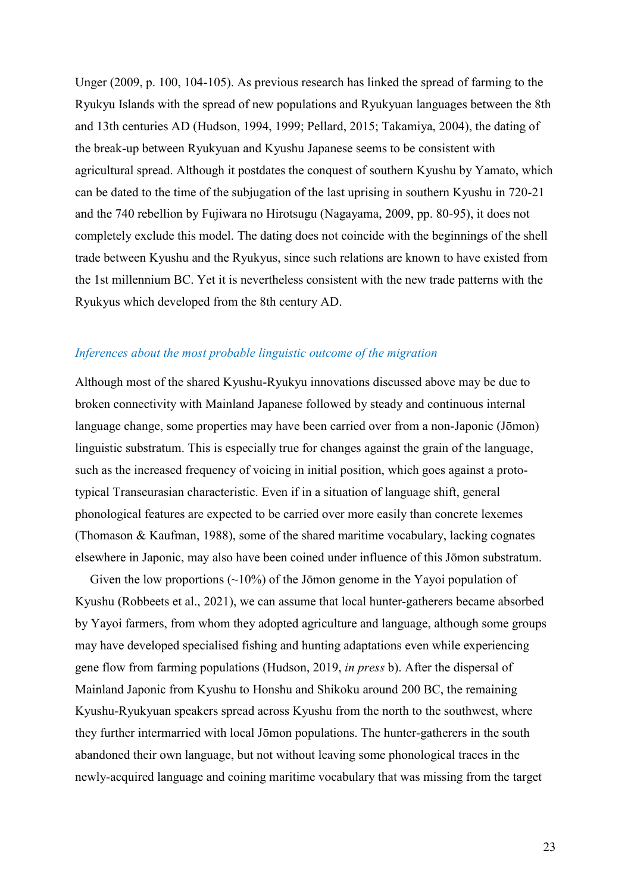Unger (2009, p. 100, 104-105). As previous research has linked the spread of farming to the Ryukyu Islands with the spread of new populations and Ryukyuan languages between the 8th and 13th centuries AD (Hudson, 1994, 1999; Pellard, 2015; Takamiya, 2004), the dating of the break-up between Ryukyuan and Kyushu Japanese seems to be consistent with agricultural spread. Although it postdates the conquest of southern Kyushu by Yamato, which can be dated to the time of the subjugation of the last uprising in southern Kyushu in 720-21 and the 740 rebellion by Fujiwara no Hirotsugu (Nagayama, 2009, pp. 80-95), it does not completely exclude this model. The dating does not coincide with the beginnings of the shell trade between Kyushu and the Ryukyus, since such relations are known to have existed from the 1st millennium BC. Yet it is nevertheless consistent with the new trade patterns with the Ryukyus which developed from the 8th century AD.

#### *Inferences about the most probable linguistic outcome of the migration*

Although most of the shared Kyushu-Ryukyu innovations discussed above may be due to broken connectivity with Mainland Japanese followed by steady and continuous internal language change, some properties may have been carried over from a non-Japonic (Jōmon) linguistic substratum. This is especially true for changes against the grain of the language, such as the increased frequency of voicing in initial position, which goes against a prototypical Transeurasian characteristic. Even if in a situation of language shift, general phonological features are expected to be carried over more easily than concrete lexemes (Thomason & Kaufman, 1988), some of the shared maritime vocabulary, lacking cognates elsewhere in Japonic, may also have been coined under influence of this Jōmon substratum.

Given the low proportions (~10%) of the Jōmon genome in the Yayoi population of Kyushu (Robbeets et al., 2021), we can assume that local hunter-gatherers became absorbed by Yayoi farmers, from whom they adopted agriculture and language, although some groups may have developed specialised fishing and hunting adaptations even while experiencing gene flow from farming populations (Hudson, 2019, *in press* b). After the dispersal of Mainland Japonic from Kyushu to Honshu and Shikoku around 200 BC, the remaining Kyushu-Ryukyuan speakers spread across Kyushu from the north to the southwest, where they further intermarried with local Jōmon populations. The hunter-gatherers in the south abandoned their own language, but not without leaving some phonological traces in the newly-acquired language and coining maritime vocabulary that was missing from the target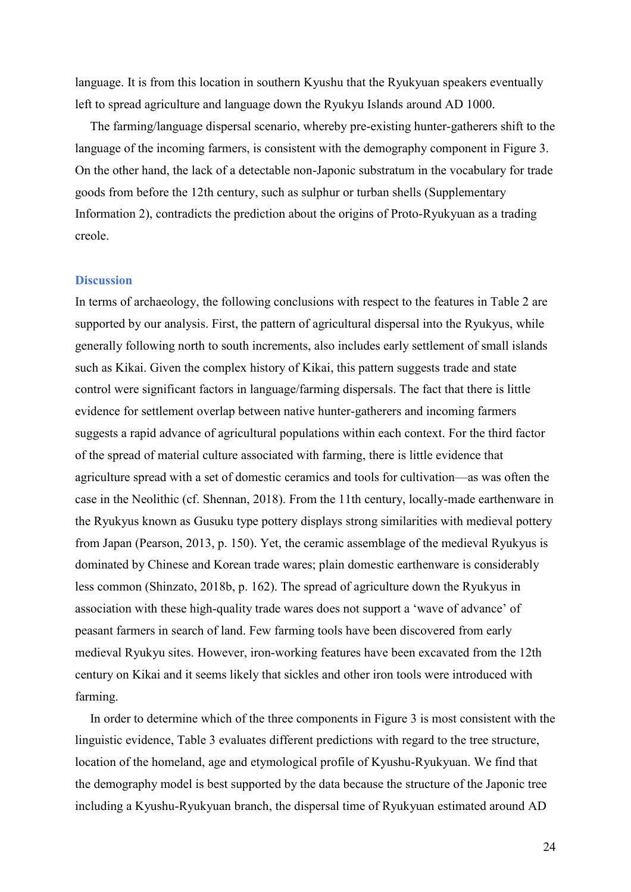language. It is from this location in southern Kyushu that the Ryukyuan speakers eventually left to spread agriculture and language down the Ryukyu Islands around AD 1000.

The farming/language dispersal scenario, whereby pre-existing hunter-gatherers shift to the language of the incoming farmers, is consistent with the demography component in Figure 3. On the other hand, the lack of a detectable non-Japonic substratum in the vocabulary for trade goods from before the 12th century, such as sulphur or turban shells (Supplementary Information 2), contradicts the prediction about the origins of Proto-Ryukyuan as a trading creole.

#### **Discussion**

In terms of archaeology, the following conclusions with respect to the features in Table 2 are supported by our analysis. First, the pattern of agricultural dispersal into the Ryukyus, while generally following north to south increments, also includes early settlement of small islands such as Kikai. Given the complex history of Kikai, this pattern suggests trade and state control were significant factors in language/farming dispersals. The fact that there is little evidence for settlement overlap between native hunter-gatherers and incoming farmers suggests a rapid advance of agricultural populations within each context. For the third factor of the spread of material culture associated with farming, there is little evidence that agriculture spread with a set of domestic ceramics and tools for cultivation—as was often the case in the Neolithic (cf. Shennan, 2018). From the 11th century, locally-made earthenware in the Ryukyus known as Gusuku type pottery displays strong similarities with medieval pottery from Japan (Pearson, 2013, p. 150). Yet, the ceramic assemblage of the medieval Ryukyus is dominated by Chinese and Korean trade wares; plain domestic earthenware is considerably less common (Shinzato, 2018b, p. 162). The spread of agriculture down the Ryukyus in association with these high-quality trade wares does not support a 'wave of advance' of peasant farmers in search of land. Few farming tools have been discovered from early medieval Ryukyu sites. However, iron-working features have been excavated from the 12th century on Kikai and it seems likely that sickles and other iron tools were introduced with farming.

In order to determine which of the three components in Figure 3 is most consistent with the linguistic evidence, Table 3 evaluates different predictions with regard to the tree structure, location of the homeland, age and etymological profile of Kyushu-Ryukyuan. We find that the demography model is best supported by the data because the structure of the Japonic tree including a Kyushu-Ryukyuan branch, the dispersal time of Ryukyuan estimated around AD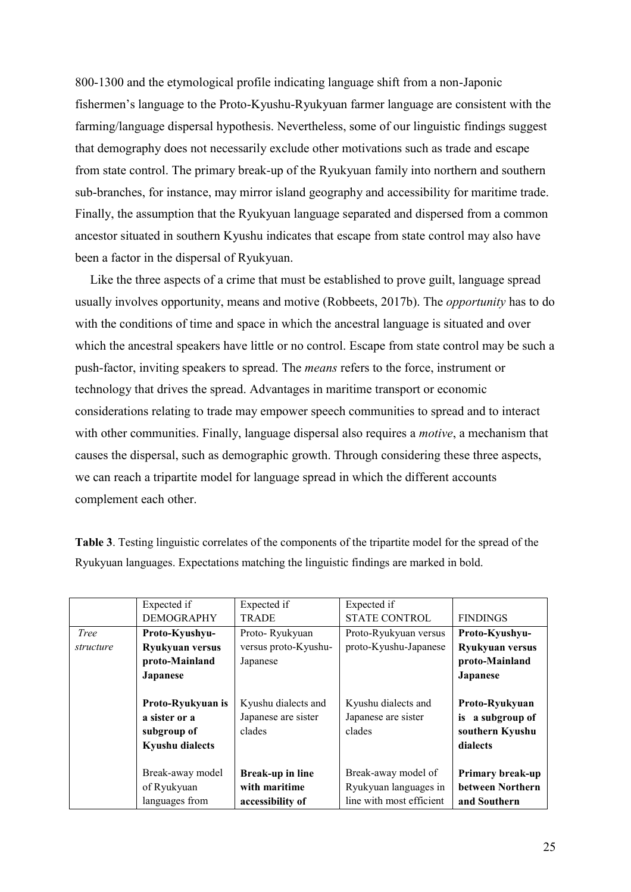800-1300 and the etymological profile indicating language shift from a non-Japonic fishermen's language to the Proto-Kyushu-Ryukyuan farmer language are consistent with the farming/language dispersal hypothesis. Nevertheless, some of our linguistic findings suggest that demography does not necessarily exclude other motivations such as trade and escape from state control. The primary break-up of the Ryukyuan family into northern and southern sub-branches, for instance, may mirror island geography and accessibility for maritime trade. Finally, the assumption that the Ryukyuan language separated and dispersed from a common ancestor situated in southern Kyushu indicates that escape from state control may also have been a factor in the dispersal of Ryukyuan.

Like the three aspects of a crime that must be established to prove guilt, language spread usually involves opportunity, means and motive (Robbeets, 2017b). The *opportunity* has to do with the conditions of time and space in which the ancestral language is situated and over which the ancestral speakers have little or no control. Escape from state control may be such a push-factor, inviting speakers to spread. The *means* refers to the force, instrument or technology that drives the spread. Advantages in maritime transport or economic considerations relating to trade may empower speech communities to spread and to interact with other communities. Finally, language dispersal also requires a *motive*, a mechanism that causes the dispersal, such as demographic growth. Through considering these three aspects, we can reach a tripartite model for language spread in which the different accounts complement each other.

|             | Expected if            | Expected if             | Expected if              |                     |
|-------------|------------------------|-------------------------|--------------------------|---------------------|
|             | <b>DEMOGRAPHY</b>      | <b>TRADE</b>            | <b>STATE CONTROL</b>     | <b>FINDINGS</b>     |
| <b>Tree</b> | Proto-Kyushyu-         | Proto-Ryukyuan          | Proto-Ryukyuan versus    | Proto-Kyushyu-      |
| structure   | Ryukyuan versus        | versus proto-Kyushu-    | proto-Kyushu-Japanese    | Ryukyuan versus     |
|             | proto-Mainland         | Japanese                |                          | proto-Mainland      |
|             | <b>Japanese</b>        |                         |                          | <b>Japanese</b>     |
|             |                        |                         |                          |                     |
|             | Proto-Ryukyuan is      | Kyushu dialects and     | Kyushu dialects and      | Proto-Ryukyuan      |
|             | a sister or a          | Japanese are sister     | Japanese are sister      | a subgroup of<br>is |
|             | subgroup of            | clades                  | clades                   | southern Kyushu     |
|             | <b>Kyushu dialects</b> |                         |                          | dialects            |
|             |                        |                         |                          |                     |
|             | Break-away model       | <b>Break-up in line</b> | Break-away model of      | Primary break-up    |
|             | of Ryukyuan            | with maritime           | Ryukyuan languages in    | between Northern    |
|             | languages from         | accessibility of        | line with most efficient | and Southern        |

**Table 3**. Testing linguistic correlates of the components of the tripartite model for the spread of the Ryukyuan languages. Expectations matching the linguistic findings are marked in bold.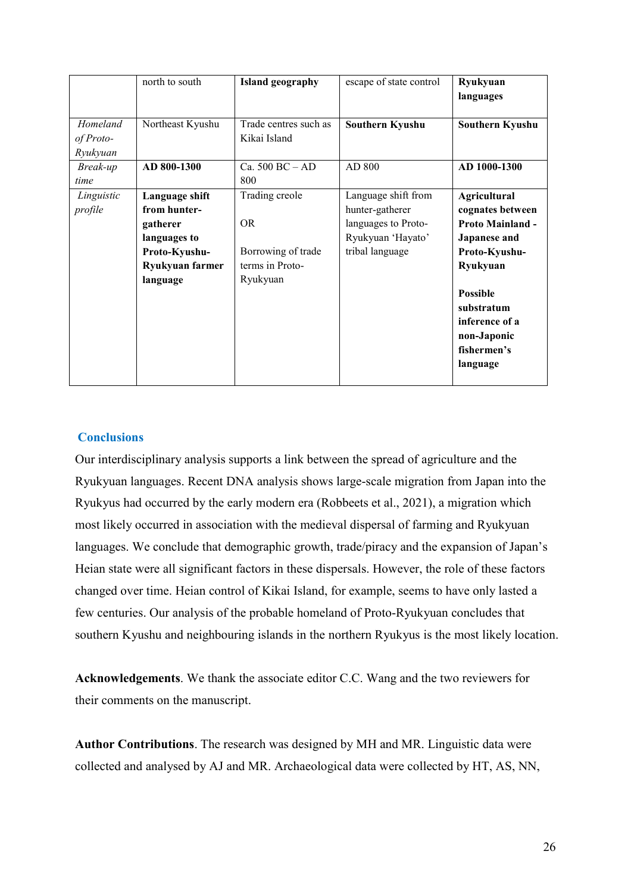|            | north to south   | <b>Island geography</b> | escape of state control | Ryukyuan<br>languages   |
|------------|------------------|-------------------------|-------------------------|-------------------------|
|            |                  |                         |                         |                         |
| Homeland   | Northeast Kyushu | Trade centres such as   | Southern Kyushu         | Southern Kyushu         |
| of Proto-  |                  | Kikai Island            |                         |                         |
| Ryukyuan   |                  |                         |                         |                         |
| Break-up   | AD 800-1300      | Ca. $500$ BC $-$ AD     | AD 800                  | AD 1000-1300            |
| time       |                  | 800                     |                         |                         |
| Linguistic | Language shift   | Trading creole          | Language shift from     | <b>Agricultural</b>     |
| profile    | from hunter-     |                         | hunter-gatherer         | cognates between        |
|            | gatherer         | <b>OR</b>               | languages to Proto-     | <b>Proto Mainland -</b> |
|            | languages to     |                         | Ryukyuan 'Hayato'       | <b>Japanese and</b>     |
|            | Proto-Kyushu-    | Borrowing of trade      | tribal language         | Proto-Kyushu-           |
|            | Ryukyuan farmer  | terms in Proto-         |                         | Ryukyuan                |
|            | language         | Ryukyuan                |                         |                         |
|            |                  |                         |                         | <b>Possible</b>         |
|            |                  |                         |                         | substratum              |
|            |                  |                         |                         | inference of a          |
|            |                  |                         |                         | non-Japonic             |
|            |                  |                         |                         | fishermen's             |
|            |                  |                         |                         | language                |
|            |                  |                         |                         |                         |

## **Conclusions**

Our interdisciplinary analysis supports a link between the spread of agriculture and the Ryukyuan languages. Recent DNA analysis shows large-scale migration from Japan into the Ryukyus had occurred by the early modern era (Robbeets et al., 2021), a migration which most likely occurred in association with the medieval dispersal of farming and Ryukyuan languages. We conclude that demographic growth, trade/piracy and the expansion of Japan's Heian state were all significant factors in these dispersals. However, the role of these factors changed over time. Heian control of Kikai Island, for example, seems to have only lasted a few centuries. Our analysis of the probable homeland of Proto-Ryukyuan concludes that southern Kyushu and neighbouring islands in the northern Ryukyus is the most likely location.

**Acknowledgements**. We thank the associate editor C.C. Wang and the two reviewers for their comments on the manuscript.

**Author Contributions**. The research was designed by MH and MR. Linguistic data were collected and analysed by AJ and MR. Archaeological data were collected by HT, AS, NN,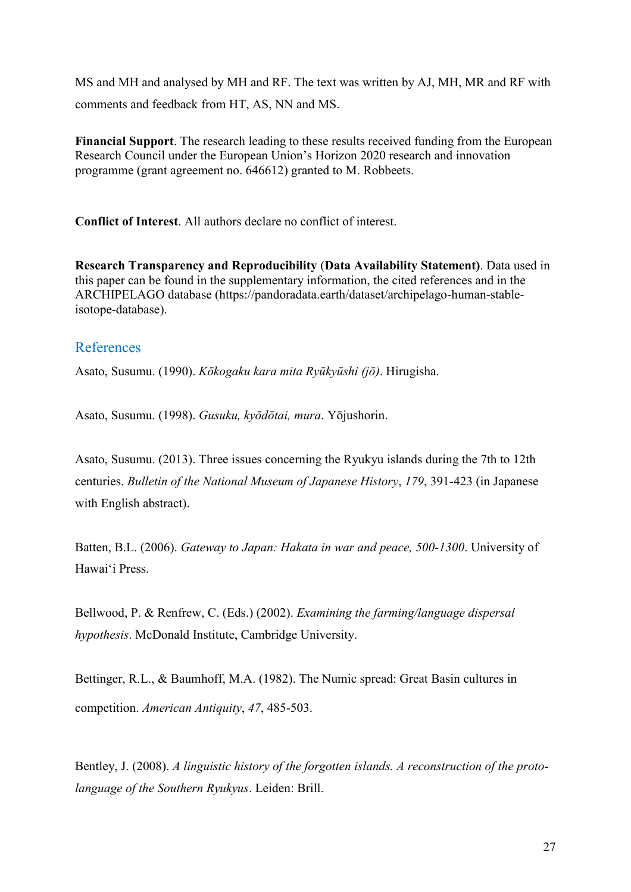MS and MH and analysed by MH and RF. The text was written by AJ, MH, MR and RF with comments and feedback from HT, AS, NN and MS.

**Financial Support**. The research leading to these results received funding from the European Research Council under the European Union's Horizon 2020 research and innovation programme (grant agreement no. 646612) granted to M. Robbeets.

**Conflict of Interest**. All authors declare no conflict of interest.

**Research Transparency and Reproducibility** (**Data Availability Statement)**. Data used in this paper can be found in the supplementary information, the cited references and in the ARCHIPELAGO database (https://pandoradata.earth/dataset/archipelago-human-stableisotope-database).

## References

Asato, Susumu. (1990). *Kōkogaku kara mita Ryūkyūshi (jō)*. Hirugisha.

Asato, Susumu. (1998). *Gusuku, kvōdōtai, mura.* Yōjushorin.

Asato, Susumu. (2013). Three issues concerning the Ryukyu islands during the 7th to 12th centuries. *Bulletin of the National Museum of Japanese History*, *179*, 391-423 (in Japanese with English abstract).

Batten, B.L. (2006). *Gateway to Japan: Hakata in war and peace, 500-1300*. University of Hawai‗i Press.

Bellwood, P. & Renfrew, C. (Eds.) (2002). *Examining the farming/language dispersal hypothesis*. McDonald Institute, Cambridge University.

Bettinger, R.L., & Baumhoff, M.A. (1982). The Numic spread: Great Basin cultures in competition. *American Antiquity*, *47*, 485-503.

Bentley, J. (2008). *A linguistic history of the forgotten islands. A reconstruction of the protolanguage of the Southern Ryukyus*. Leiden: Brill.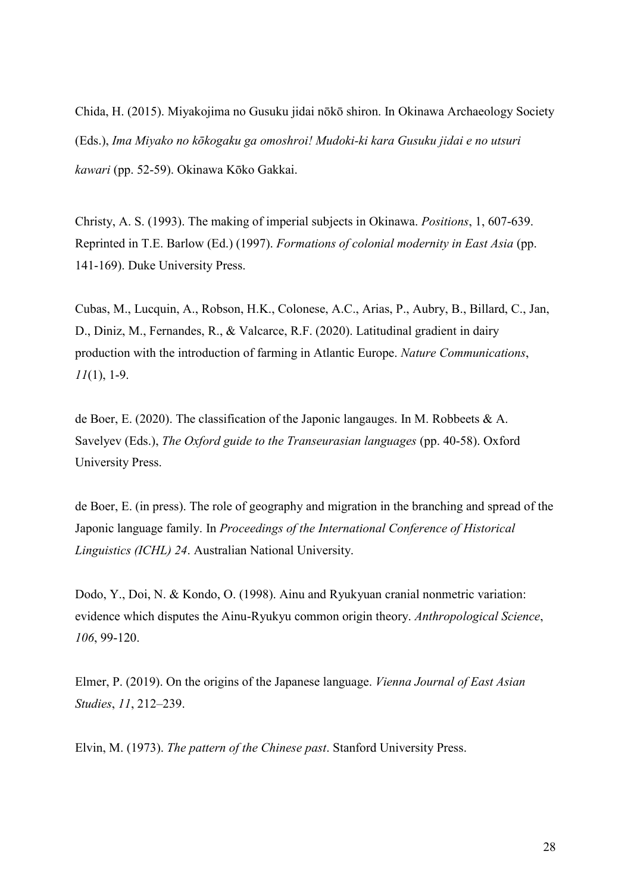Chida, H. (2015). Miyakojima no Gusuku jidai nōkō shiron. In Okinawa Archaeology Society (Eds.), *Ima Miyako no kōkogaku ga omoshroi! Mudoki-ki kara Gusuku jidai e no utsuri kawari* (pp. 52-59). Okinawa Kōko Gakkai.

Christy, A. S. (1993). The making of imperial subjects in Okinawa. *Positions*, 1, 607-639. Reprinted in T.E. Barlow (Ed.) (1997). *Formations of colonial modernity in East Asia* (pp. 141-169). Duke University Press.

Cubas, M., Lucquin, A., Robson, H.K., Colonese, A.C., Arias, P., Aubry, B., Billard, C., Jan, D., Diniz, M., Fernandes, R., & Valcarce, R.F. (2020). Latitudinal gradient in dairy production with the introduction of farming in Atlantic Europe. *Nature Communications*, *11*(1), 1-9.

de Boer, E. (2020). The classification of the Japonic langauges. In M. Robbeets & A. Savelyev (Eds.), *The Oxford guide to the Transeurasian languages* (pp. 40-58). Oxford University Press.

de Boer, E. (in press). The role of geography and migration in the branching and spread of the Japonic language family. In *Proceedings of the International Conference of Historical Linguistics (ICHL) 24*. Australian National University.

Dodo, Y., Doi, N. & Kondo, O. (1998). Ainu and Ryukyuan cranial nonmetric variation: evidence which disputes the Ainu-Ryukyu common origin theory. *Anthropological Science*, *106*, 99-120.

Elmer, P. (2019). On the origins of the Japanese language. *Vienna Journal of East Asian Studies*, *11*, 212–239.

Elvin, M. (1973). *The pattern of the Chinese past*. Stanford University Press.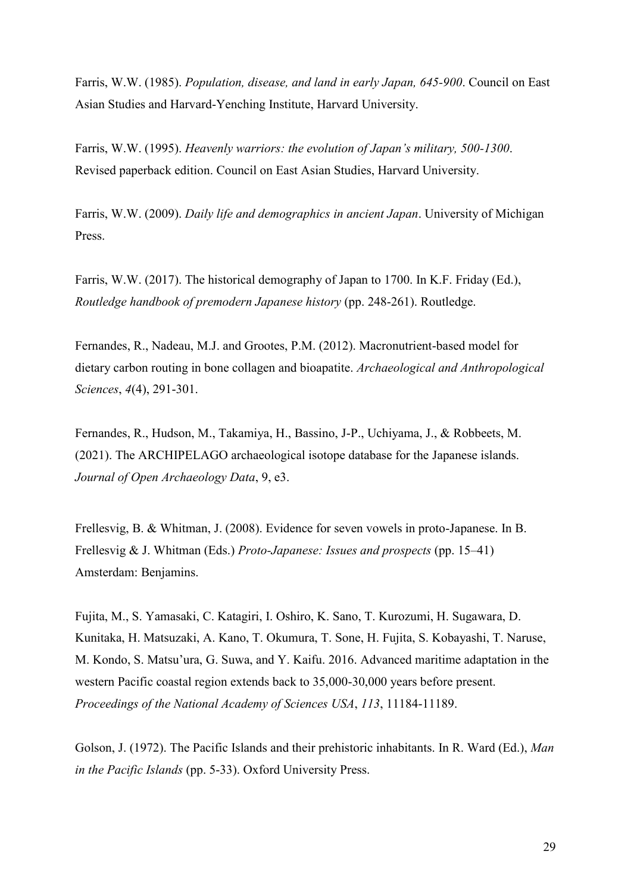Farris, W.W. (1985). *Population, disease, and land in early Japan, 645-900*. Council on East Asian Studies and Harvard-Yenching Institute, Harvard University.

Farris, W.W. (1995). *Heavenly warriors: the evolution of Japan's military, 500-1300.* Revised paperback edition. Council on East Asian Studies, Harvard University.

Farris, W.W. (2009). *Daily life and demographics in ancient Japan*. University of Michigan Press.

Farris, W.W. (2017). The historical demography of Japan to 1700. In K.F. Friday (Ed.), *Routledge handbook of premodern Japanese history* (pp. 248-261). Routledge.

Fernandes, R., Nadeau, M.J. and Grootes, P.M. (2012). Macronutrient-based model for dietary carbon routing in bone collagen and bioapatite. *Archaeological and Anthropological Sciences*, *4*(4), 291-301.

Fernandes, R., Hudson, M., Takamiya, H., Bassino, J-P., Uchiyama, J., & Robbeets, M. (2021). The ARCHIPELAGO archaeological isotope database for the Japanese islands. *Journal of Open Archaeology Data*, 9, e3.

Frellesvig, B. & Whitman, J. (2008). Evidence for seven vowels in proto-Japanese. In B. Frellesvig & J. Whitman (Eds.) *Proto-Japanese: Issues and prospects* (pp. 15–41) Amsterdam: Benjamins.

Fujita, M., S. Yamasaki, C. Katagiri, I. Oshiro, K. Sano, T. Kurozumi, H. Sugawara, D. Kunitaka, H. Matsuzaki, A. Kano, T. Okumura, T. Sone, H. Fujita, S. Kobayashi, T. Naruse, M. Kondo, S. Matsu'ura, G. Suwa, and Y. Kaifu. 2016. Advanced maritime adaptation in the western Pacific coastal region extends back to 35,000-30,000 years before present. *Proceedings of the National Academy of Sciences USA*, *113*, 11184-11189.

Golson, J. (1972). The Pacific Islands and their prehistoric inhabitants. In R. Ward (Ed.), *Man in the Pacific Islands* (pp. 5-33). Oxford University Press.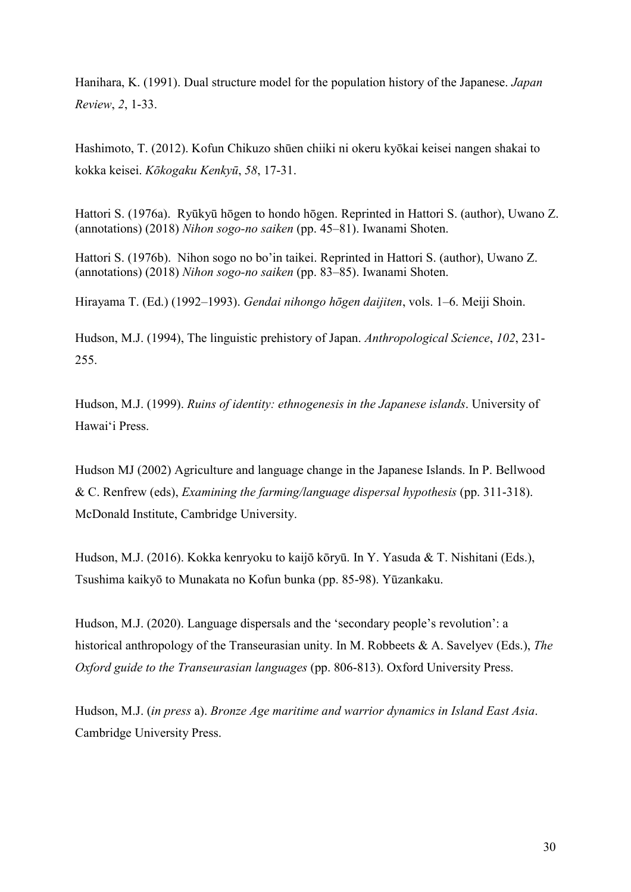Hanihara, K. (1991). Dual structure model for the population history of the Japanese. *Japan Review*, *2*, 1-33.

Hashimoto, T. (2012). Kofun Chikuzo shūen chiiki ni okeru kyōkai keisei nangen shakai to kokka keisei. *Kōkogaku Kenkyū*, *58*, 17-31.

Hattori S. (1976a). Ryūkyū hōgen to hondo hōgen. Reprinted in Hattori S. (author), Uwano Z. (annotations) (2018) *Nihon sogo-no saiken* (pp. 45–81). Iwanami Shoten.

Hattori S. (1976b). Nihon sogo no bo'in taikei. Reprinted in Hattori S. (author), Uwano Z. (annotations) (2018) *Nihon sogo-no saiken* (pp. 83–85). Iwanami Shoten.

Hirayama T. (Ed.) (1992–1993). *Gendai nihongo hōgen daijiten*, vols. 1–6. Meiji Shoin.

Hudson, M.J. (1994), The linguistic prehistory of Japan. *Anthropological Science*, *102*, 231- 255.

Hudson, M.J. (1999). *Ruins of identity: ethnogenesis in the Japanese islands*. University of Hawai‗i Press.

Hudson MJ (2002) Agriculture and language change in the Japanese Islands. In P. Bellwood & C. Renfrew (eds), *Examining the farming/language dispersal hypothesis* (pp. 311-318). McDonald Institute, Cambridge University.

Hudson, M.J. (2016). Kokka kenryoku to kaijō kōryū. In Y. Yasuda & T. Nishitani (Eds.), Tsushima kaikyō to Munakata no Kofun bunka (pp. 85-98). Yūzankaku.

Hudson, M.J. (2020). Language dispersals and the 'secondary people's revolution': a historical anthropology of the Transeurasian unity. In M. Robbeets & A. Savelyev (Eds.), *The Oxford guide to the Transeurasian languages* (pp. 806-813). Oxford University Press.

Hudson, M.J. (*in press* a). *Bronze Age maritime and warrior dynamics in Island East Asia*. Cambridge University Press.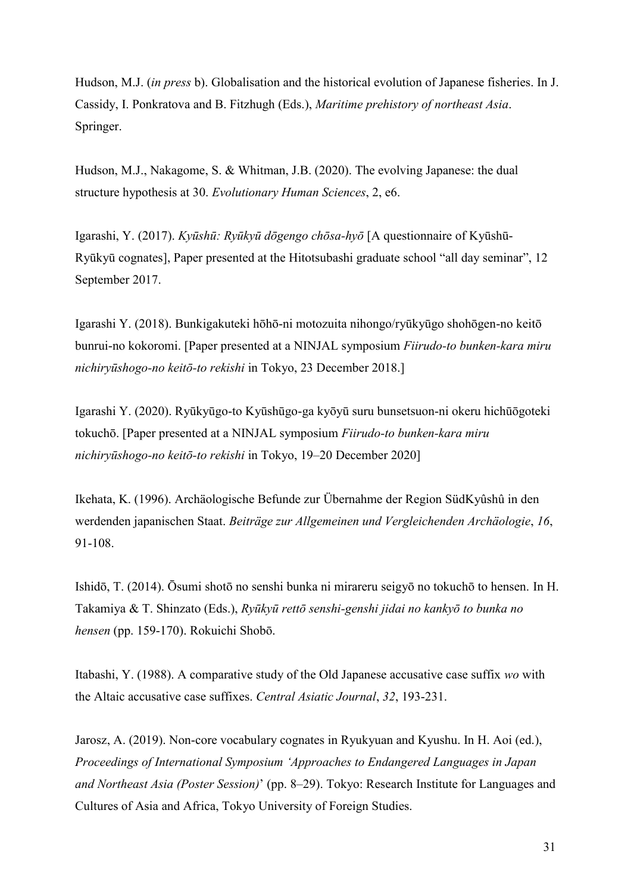Hudson, M.J. (*in press* b). Globalisation and the historical evolution of Japanese fisheries. In J. Cassidy, I. Ponkratova and B. Fitzhugh (Eds.), *Maritime prehistory of northeast Asia*. Springer.

Hudson, M.J., Nakagome, S. & Whitman, J.B. (2020). The evolving Japanese: the dual structure hypothesis at 30. *Evolutionary Human Sciences*, 2, e6.

Igarashi, Y. (2017). *Kyūshū: Ryūkyū dōgengo chōsa-hyō* [A questionnaire of Kyūshū-Ryūkyū cognates], Paper presented at the Hitotsubashi graduate school "all day seminar", 12 September 2017.

Igarashi Y. (2018). Bunkigakuteki hōhō-ni motozuita nihongo/ryūkyūgo shohōgen-no keitō bunrui-no kokoromi. [Paper presented at a NINJAL symposium *Fiirudo-to bunken-kara miru nichiryū hogo-no keitō-to rekishi* in Tokyo, 23 December 2018.]

Igarashi Y. (2020). Ryūkyūgo-to Kyūshūgo-ga kyōyū suru bunsetsuon-ni okeru hichūōgoteki tokuchō. [Paper presented at a NINJAL symposium *Fiirudo-to bunken-kara miru nichiryū hogo-no keitō-to rekishi* in Tokyo, 19–20 December 2020]

Ikehata, K. (1996). Archäologische Befunde zur Übernahme der Region SüdKyûshû in den werdenden japanischen Staat. *Beiträge zur Allgemeinen und Vergleichenden Archäologie*, *16*, 91-108.

Ishidō, T. (2014). Ōsumi shotō no senshi bunka ni mirareru seigyō no tokuchō to hensen. In H. Takamiya & T. Shinzato (Eds.), *Ryūkyū rettō senshi-genshi jidai no kankyō to bunka no hensen* (pp. 159-170). Rokuichi Shobō.

Itabashi, Y. (1988). A comparative study of the Old Japanese accusative case suffix *wo* with the Altaic accusative case suffixes. *Central Asiatic Journal*, *32*, 193-231.

Jarosz, A. (2019). Non-core vocabulary cognates in Ryukyuan and Kyushu. In H. Aoi (ed.), *Proceedings of International Symposium 'Approaches to Endangered Languages in Japan and Northeast Asia (Poster Session)*' (pp. 8–29). Tokyo: Research Institute for Languages and Cultures of Asia and Africa, Tokyo University of Foreign Studies.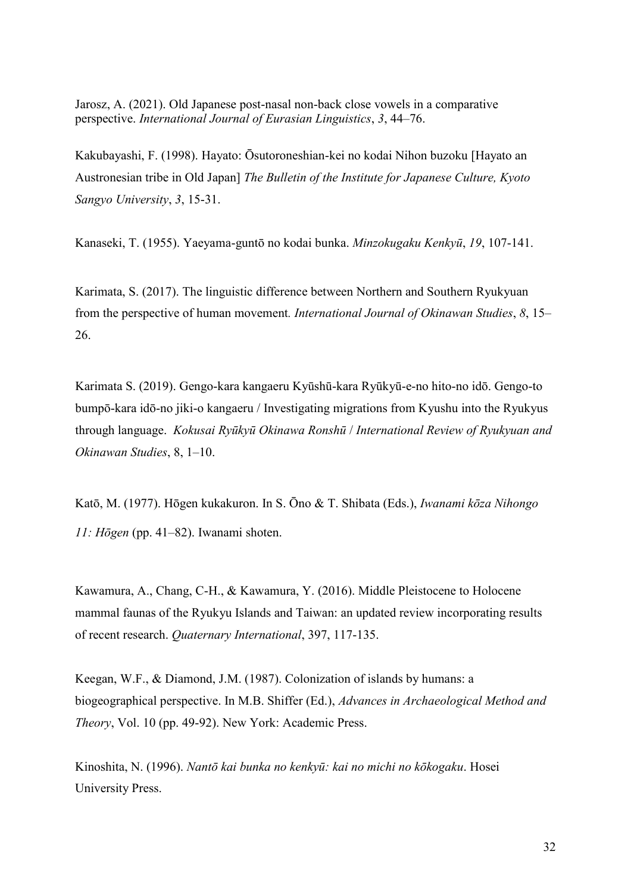Jarosz, A. (2021). Old Japanese post-nasal non-back close vowels in a comparative perspective. *International Journal of Eurasian Linguistics*, *3*, 44–76.

Kakubayashi, F. (1998). Hayato: Ōsutoroneshian-kei no kodai Nihon buzoku [Hayato an Austronesian tribe in Old Japan] *The Bulletin of the Institute for Japanese Culture, Kyoto Sangyo University*, *3*, 15-31.

Kanaseki, T. (1955). Yaeyama-guntō no kodai bunka. *Minzokugaku Kenkyū*, *19*, 107-141.

Karimata, S. (2017). The linguistic difference between Northern and Southern Ryukyuan from the perspective of human movement*. International Journal of Okinawan Studies*, *8*, 15– 26.

Karimata S. (2019). Gengo-kara kangaeru Kyūshū-kara Ryūkyū-e-no hito-no idō. Gengo-to bumpō-kara idō-no jiki-o kangaeru / Investigating migrations from Kyushu into the Ryukyus through language. *Kokusai Ryūkyū Okinawa Ronshū / International Review of Ryukyuan and Okinawan Studies*, 8, 1–10.

Katō, M. (1977). Hōgen kukakuron. In S. Ōno & T. Shibata (Eds.), *Iwanami kōza Nihongo 11: Hōgen* (pp. 41–82). Iwanami shoten.

Kawamura, A., Chang, C-H., & Kawamura, Y. (2016). Middle Pleistocene to Holocene mammal faunas of the Ryukyu Islands and Taiwan: an updated review incorporating results of recent research. *Quaternary International*, 397, 117-135.

Keegan, W.F., & Diamond, J.M. (1987). Colonization of islands by humans: a biogeographical perspective. In M.B. Shiffer (Ed.), *Advances in Archaeological Method and Theory*, Vol. 10 (pp. 49-92). New York: Academic Press.

Kinoshita, N. (1996). *Nantō kai bunka no kenkyū: kai no michi no kōkogaku*. Hosei University Press.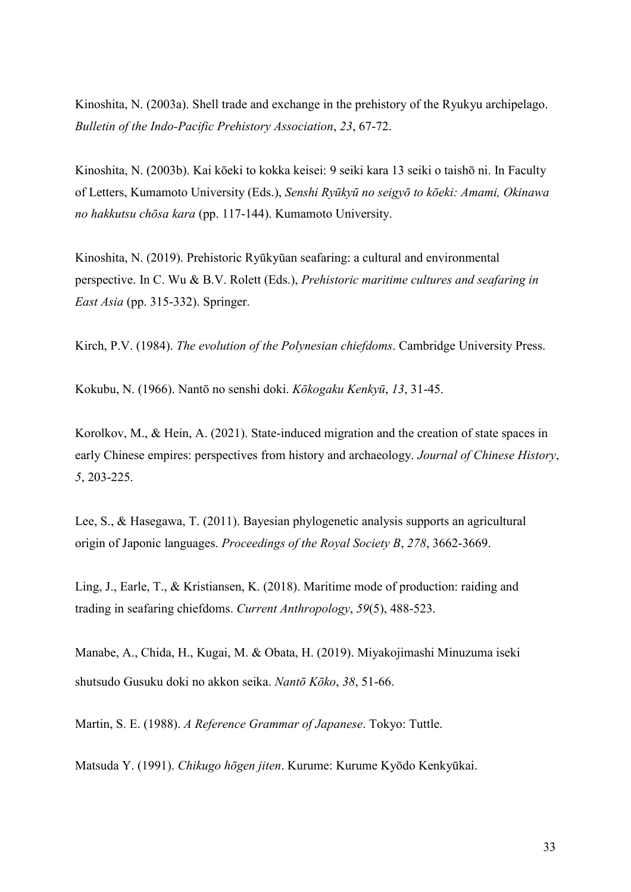Kinoshita, N. (2003a). Shell trade and exchange in the prehistory of the Ryukyu archipelago. *Bulletin of the Indo-Pacific Prehistory Association*, *23*, 67-72.

Kinoshita, N. (2003b). Kai kōeki to kokka keisei: 9 seiki kara 13 seiki o taishō ni. In Faculty of Letters, Kumamoto University (Eds.), *Sen hi Ryūkyū no eigyō to kōeki: Amami, Okinawa*  no hakkutsu chōsa kara (pp. 117-144). Kumamoto University.

Kinoshita, N. (2019). Prehistoric Ryūkyūan seafaring: a cultural and environmental perspective. In C. Wu & B.V. Rolett (Eds.), *Prehistoric maritime cultures and seafaring in East Asia* (pp. 315-332). Springer.

Kirch, P.V. (1984). *The evolution of the Polynesian chiefdoms*. Cambridge University Press.

Kokubu, N. (1966). Nantō no senshi doki. *Kōkogaku Kenkyū*, 13, 31-45.

Korolkov, M., & Hein, A. (2021). State-induced migration and the creation of state spaces in early Chinese empires: perspectives from history and archaeology. *Journal of Chinese History*, *5*, 203-225.

Lee, S., & Hasegawa, T. (2011). Bayesian phylogenetic analysis supports an agricultural origin of Japonic languages. *Proceedings of the Royal Society B*, *278*, 3662-3669.

Ling, J., Earle, T., & Kristiansen, K. (2018). Maritime mode of production: raiding and trading in seafaring chiefdoms. *Current Anthropology*, *59*(5), 488-523.

Manabe, A., Chida, H., Kugai, M. & Obata, H. (2019). Miyakojimashi Minuzuma iseki shutsudo Gusuku doki no akkon seika. *Nantō Kōko*, *38*, 51-66.

Martin, S. E. (1988). *A Reference Grammar of Japanese*. Tokyo: Tuttle.

Matsuda Y. (1991). *Chik go hōgen jiten*. Kurume: Kurume Kyōdo Kenkyūkai.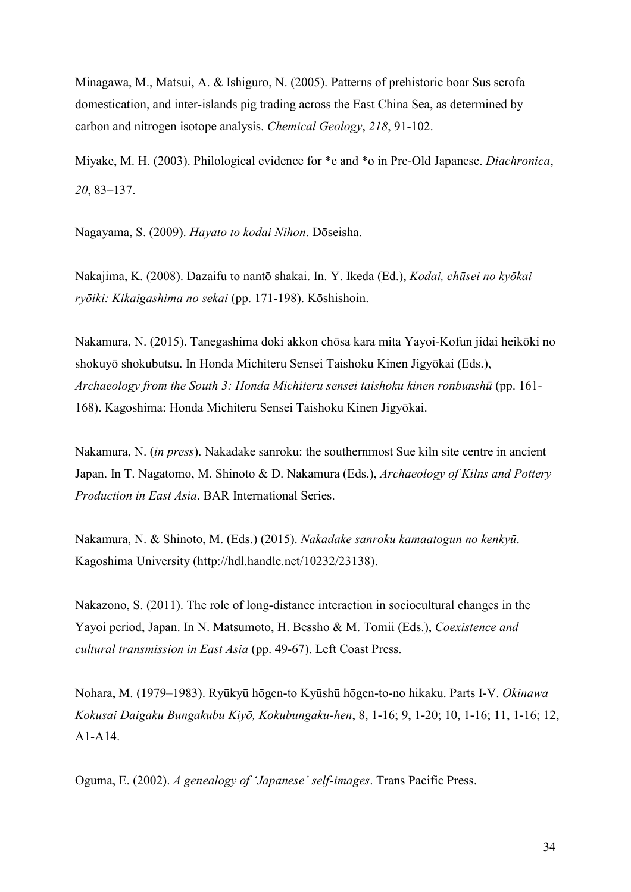Minagawa, M., Matsui, A. & Ishiguro, N. (2005). Patterns of prehistoric boar Sus scrofa domestication, and inter-islands pig trading across the East China Sea, as determined by carbon and nitrogen isotope analysis. *Chemical Geology*, *218*, 91-102.

Miyake, M. H. (2003). Philological evidence for \*e and \*o in Pre-Old Japanese. *Diachronica*, *20*, 83–137.

Nagayama, S. (2009). *Hayato to kodai Nihon*. Dōseisha.

Nakajima, K. (2008). Dazaifu to nantō shakai. In. Y. Ikeda (Ed.), *Kodai, chū ei no kyōkai ryōiki: Kikaiga hima no ekai* (pp. 171-198). Kōshishoin.

Nakamura, N. (2015). Tanegashima doki akkon chōsa kara mita Yayoi-Kofun jidai heikōki no shokuyō shokubutsu. In Honda Michiteru Sensei Taishoku Kinen Jigyōkai (Eds.), *Archaeology from the South 3: Honda Michiteru sensei taishoku kinen ronbunshū* (pp. 161-168). Kagoshima: Honda Michiteru Sensei Taishoku Kinen Jigyōkai.

Nakamura, N. (*in press*). Nakadake sanroku: the southernmost Sue kiln site centre in ancient Japan. In T. Nagatomo, M. Shinoto & D. Nakamura (Eds.), *Archaeology of Kilns and Pottery Production in East Asia*. BAR International Series.

Nakamura, N. & Shinoto, M. (Eds.) (2015). *Nakadake sanroku kamaatogun no kenkvū*. Kagoshima University (http://hdl.handle.net/10232/23138).

Nakazono, S. (2011). The role of long-distance interaction in sociocultural changes in the Yayoi period, Japan. In N. Matsumoto, H. Bessho & M. Tomii (Eds.), *Coexistence and cultural transmission in East Asia* (pp. 49-67). Left Coast Press.

Nohara, M. (1979–1983). Ryūkyū hōgen-to Kyūshū hōgen-to-no hikaku. Parts I-V. *Okinawa Kok ai Daigak B ngak b Kiyō, Kok b ngak -hen*, 8, 1-16; 9, 1-20; 10, 1-16; 11, 1-16; 12, A1-A14.

Oguma, E. (2002). *A genealogy of 'Japanese' self-images*. Trans Pacific Press.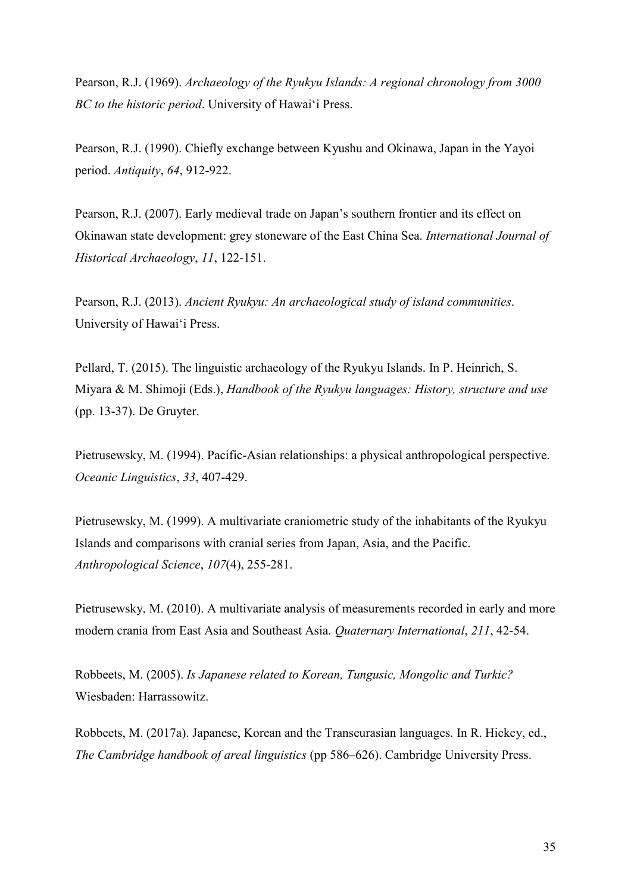Pearson, R.J. (1969). *Archaeology of the Ryukyu Islands: A regional chronology from 3000 BC to the historic period*. University of Hawai‗i Press.

Pearson, R.J. (1990). Chiefly exchange between Kyushu and Okinawa, Japan in the Yayoi period. *Antiquity*, *64*, 912-922.

Pearson, R.J. (2007). Early medieval trade on Japan's southern frontier and its effect on Okinawan state development: grey stoneware of the East China Sea. *International Journal of Historical Archaeology*, *11*, 122-151.

Pearson, R.J. (2013). *Ancient Ryukyu: An archaeological study of island communities*. University of Hawai'i Press.

Pellard, T. (2015). The linguistic archaeology of the Ryukyu Islands. In P. Heinrich, S. Miyara & M. Shimoji (Eds.), *Handbook of the Ryukyu languages: History, structure and use* (pp. 13-37). De Gruyter.

Pietrusewsky, M. (1994). Pacific-Asian relationships: a physical anthropological perspective. *Oceanic Linguistics*, *33*, 407-429.

Pietrusewsky, M. (1999). A multivariate craniometric study of the inhabitants of the Ryukyu Islands and comparisons with cranial series from Japan, Asia, and the Pacific. *Anthropological Science*, *107*(4), 255-281.

Pietrusewsky, M. (2010). A multivariate analysis of measurements recorded in early and more modern crania from East Asia and Southeast Asia. *Quaternary International*, *211*, 42-54.

Robbeets, M. (2005). *Is Japanese related to Korean, Tungusic, Mongolic and Turkic?* Wiesbaden: Harrassowitz.

Robbeets, M. (2017a). Japanese, Korean and the Transeurasian languages. In R. Hickey, ed., *The Cambridge handbook of areal linguistics* (pp 586–626). Cambridge University Press.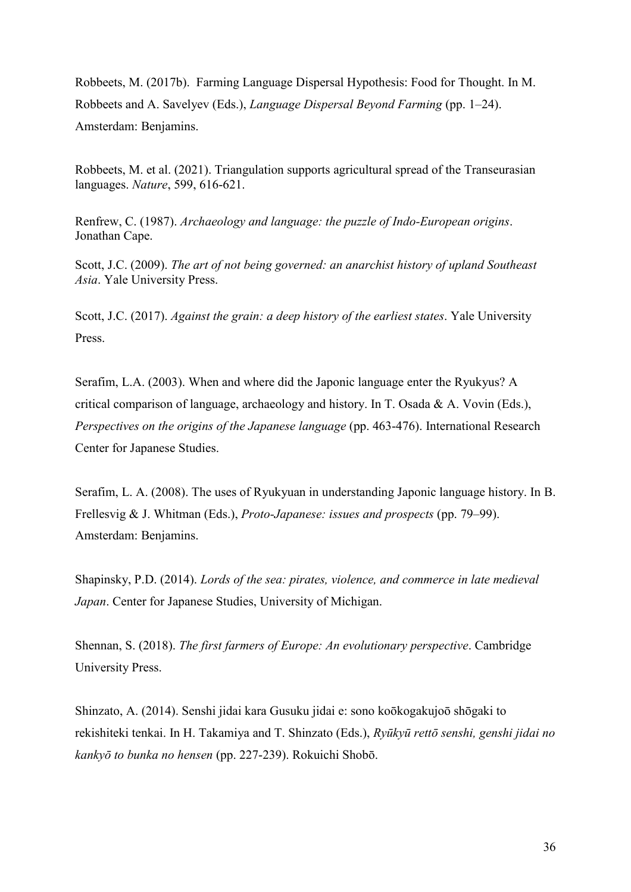Robbeets, M. (2017b). Farming Language Dispersal Hypothesis: Food for Thought. In M. Robbeets and A. Savelyev (Eds.), *Language Dispersal Beyond Farming* (pp. 1–24). Amsterdam: Benjamins.

Robbeets, M. et al. (2021). Triangulation supports agricultural spread of the Transeurasian languages. *Nature*, 599, 616-621.

Renfrew, C. (1987). *Archaeology and language: the puzzle of Indo-European origins*. Jonathan Cape.

Scott, J.C. (2009). *The art of not being governed: an anarchist history of upland Southeast Asia*. Yale University Press.

Scott, J.C. (2017). *Against the grain: a deep history of the earliest states*. Yale University Press.

Serafim, L.A. (2003). When and where did the Japonic language enter the Ryukyus? A critical comparison of language, archaeology and history. In T. Osada & A. Vovin (Eds.), *Perspectives on the origins of the Japanese language* (pp. 463-476). International Research Center for Japanese Studies.

Serafim, L. A. (2008). The uses of Ryukyuan in understanding Japonic language history. In B. Frellesvig & J. Whitman (Eds.), *Proto-Japanese: issues and prospects* (pp. 79–99). Amsterdam: Benjamins.

Shapinsky, P.D. (2014). *Lords of the sea: pirates, violence, and commerce in late medieval Japan*. Center for Japanese Studies, University of Michigan.

Shennan, S. (2018). *The first farmers of Europe: An evolutionary perspective*. Cambridge University Press.

Shinzato, A. (2014). Senshi jidai kara Gusuku jidai e: sono koōkogakujoō shōgaki to rekishiteki tenkai. In H. Takamiya and T. Shinzato (Eds.), *Ryūkyū rettō senshi, genshi jidai no kankyō to bunka no hensen* (pp. 227-239). Rokuichi Shobō.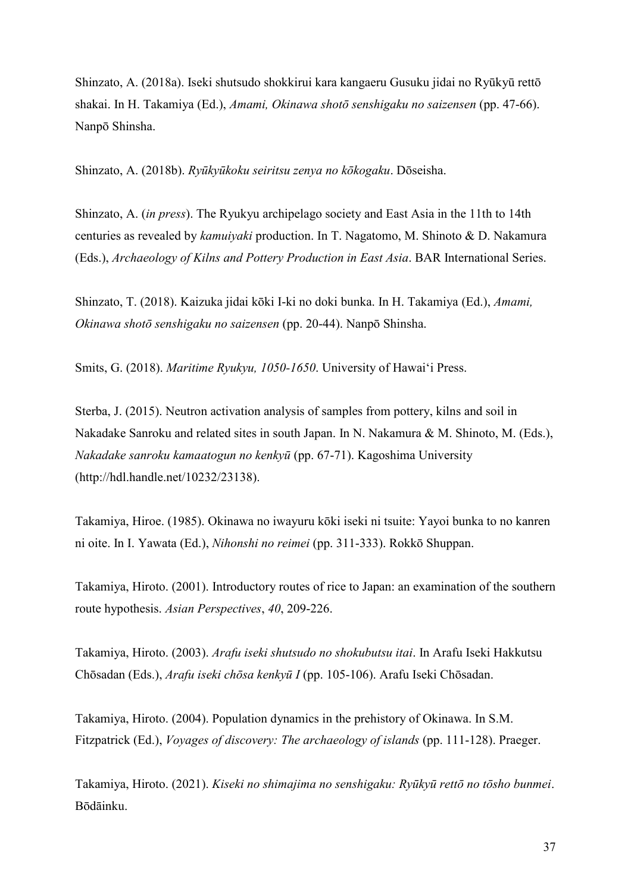Shinzato, A. (2018a). Iseki shutsudo shokkirui kara kangaeru Gusuku jidai no Ryūkyū rettō shakai. In H. Takamiya (Ed.), *Amami, Okinawa shotō senshigaku no saizensen* (pp. 47-66). Nanpō Shinsha.

Shinzato, A. (2018b). *Ryūkyūkoku seiritsu zenya no kōkogaku*. Dōseisha.

Shinzato, A. (*in press*). The Ryukyu archipelago society and East Asia in the 11th to 14th centuries as revealed by *kamuiyaki* production. In T. Nagatomo, M. Shinoto & D. Nakamura (Eds.), *Archaeology of Kilns and Pottery Production in East Asia*. BAR International Series.

Shinzato, T. (2018). Kaizuka jidai kōki I-ki no doki bunka. In H. Takamiya (Ed.), *Amami, Okinawa shotō senshigaku no saizensen* (pp. 20-44). Nanpō Shinsha.

Smits, G. (2018). *Maritime Ryukyu, 1050-1650*. University of Hawai'i Press.

Sterba, J. (2015). Neutron activation analysis of samples from pottery, kilns and soil in Nakadake Sanroku and related sites in south Japan. In N. Nakamura & M. Shinoto, M. (Eds.), *Nakadake sanroku kamaatogun no kenkyū* (pp. 67-71). Kagoshima University (http://hdl.handle.net/10232/23138).

Takamiya, Hiroe. (1985). Okinawa no iwayuru kōki iseki ni tsuite: Yayoi bunka to no kanren ni oite. In I. Yawata (Ed.), *Nihonshi no reimei* (pp. 311-333). Rokkō Shuppan.

Takamiya, Hiroto. (2001). Introductory routes of rice to Japan: an examination of the southern route hypothesis. *Asian Perspectives*, *40*, 209-226.

Takamiya, Hiroto. (2003). *Arafu iseki shutsudo no shokubutsu itai*. In Arafu Iseki Hakkutsu Chōsadan (Eds.), *Arafu iseki chōsa kenkyū I* (pp. 105-106). Arafu Iseki Chōsadan.

Takamiya, Hiroto. (2004). Population dynamics in the prehistory of Okinawa. In S.M. Fitzpatrick (Ed.), *Voyages of discovery: The archaeology of islands* (pp. 111-128). Praeger.

Takamiya, Hiroto. (2021). *Kiseki no shimajima no senshigaku: Ryūkyū rettō no tōsho bunmei*. Bōdāinku.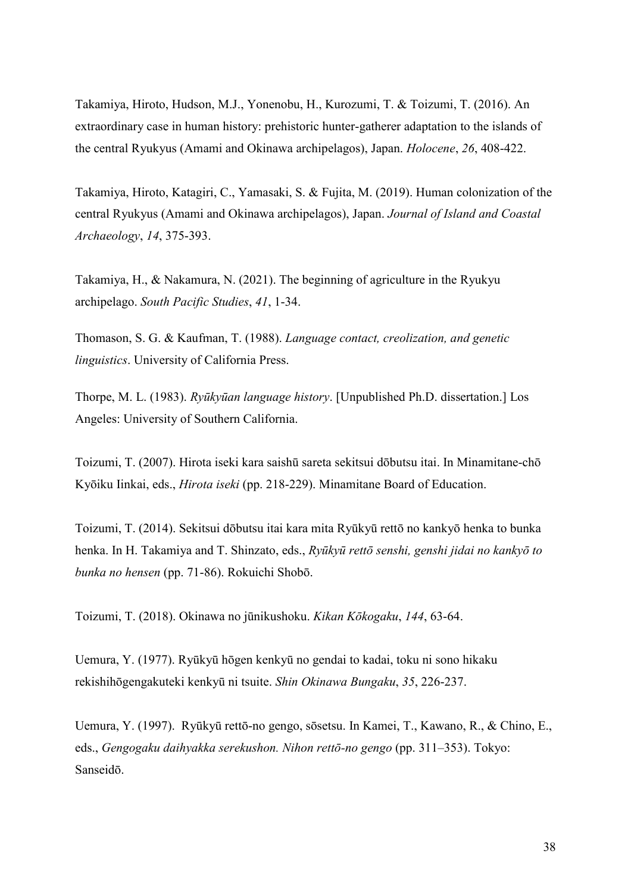Takamiya, Hiroto, Hudson, M.J., Yonenobu, H., Kurozumi, T. & Toizumi, T. (2016). An extraordinary case in human history: prehistoric hunter-gatherer adaptation to the islands of the central Ryukyus (Amami and Okinawa archipelagos), Japan. *Holocene*, *26*, 408-422.

Takamiya, Hiroto, Katagiri, C., Yamasaki, S. & Fujita, M. (2019). Human colonization of the central Ryukyus (Amami and Okinawa archipelagos), Japan. *Journal of Island and Coastal Archaeology*, *14*, 375-393.

Takamiya, H., & Nakamura, N. (2021). The beginning of agriculture in the Ryukyu archipelago. *South Pacific Studies*, *41*, 1-34.

Thomason, S. G. & Kaufman, T. (1988). *Language contact, creolization, and genetic linguistics*. University of California Press.

Thorpe, M. L. (1983). *Ryūkyūan language history*. [Unpublished Ph.D. dissertation.] Los Angeles: University of Southern California.

Toizumi, T. (2007). Hirota iseki kara saishū sareta sekitsui dōbutsu itai. In Minamitane-chō Kyōiku Iinkai, eds., *Hirota iseki* (pp. 218-229). Minamitane Board of Education.

Toizumi, T. (2014). Sekitsui dōbutsu itai kara mita Ryūkyū rettō no kankyō henka to bunka henka. In H. Takamiya and T. Shinzato, eds., *Ryūkyū rettō senshi, genshi jidai no kankyō to bunka no hensen* (pp. 71-86). Rokuichi Shobō.

Toizumi, T. (2018). Okinawa no jūnikushoku. *Kikan Kōkogaku*, 144, 63-64.

Uemura, Y. (1977). Ryūkyū hōgen kenkyū no gendai to kadai, toku ni sono hikaku rekishihōgengakuteki kenkyū ni tsuite. *Shin Okinawa Bungaku*, *35*, 226-237.

Uemura, Y. (1997). Ryūkyū rettō-no gengo, sōsetsu. In Kamei, T., Kawano, R., & Chino, E., eds., *Gengogaku daihyakka serekushon. Nihon rettō-no gengo* (pp. 311–353). Tokyo: Sanseidō.